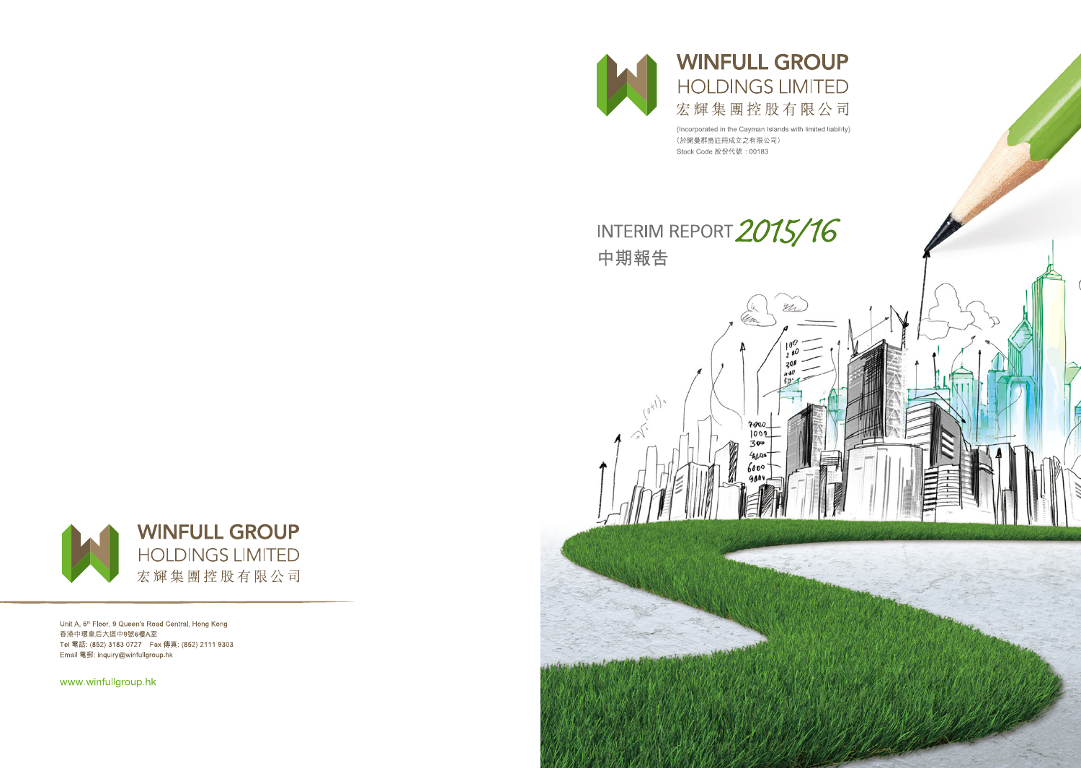

 $\frac{1}{\sqrt{2}}\left( \frac{1}{\sqrt{2}}\right)$ 

# **WINFULL GROUP HOLDINGS LIMITED** 宏輝集團控股有限公司

(Incorporated in the Cayman Islands with limited liability) (於開曼群島註冊成立之有限公司) Stock Code 股份代號: 00183

Elr

# INTERIM REPORT 2015/16 中期報告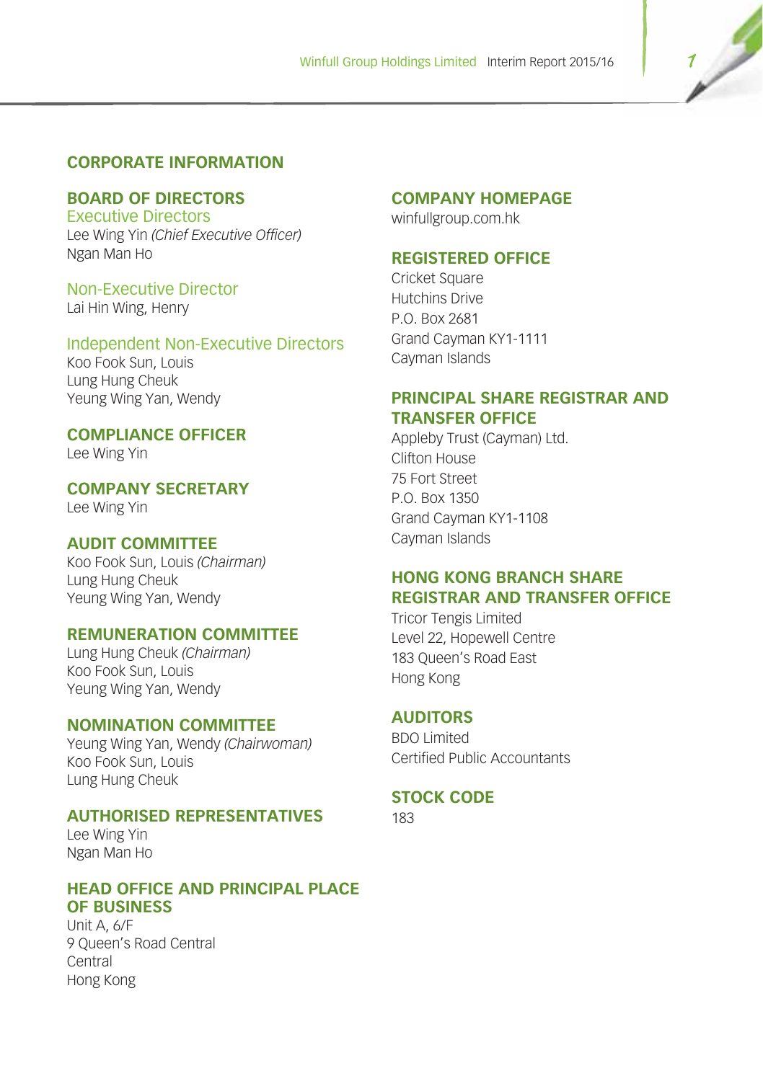## **CORPORATE INFORMATION**

## **BOARD OF DIRECTORS**

Executive Directors Lee Wing Yin *(Chief Executive Officer)* Ngan Man Ho

## Non-Executive Director

Lai Hin Wing, Henry

## Independent Non-Executive Directors

Koo Fook Sun, Louis Lung Hung Cheuk Yeung Wing Yan, Wendy

## **COMPLIANCE OFFICER**

Lee Wing Yin

**COMPANY SECRETARY** Lee Wing Yin

## **AUDIT COMMITTEE**

Koo Fook Sun, Louis *(Chairman)* Lung Hung Cheuk Yeung Wing Yan, Wendy

## **REMUNERATION COMMITTEE**

Lung Hung Cheuk *(Chairman)* Koo Fook Sun, Louis Yeung Wing Yan, Wendy

#### **NOMINATION COMMITTEE**

Yeung Wing Yan, Wendy *(Chairwoman)* Koo Fook Sun, Louis Lung Hung Cheuk

## **AUTHORISED REPRESENTATIVES**

Lee Wing Yin Ngan Man Ho

#### **HEAD OFFICE AND PRINCIPAL PLACE OF BUSINESS**

Unit A, 6/F 9 Queen's Road Central Central Hong Kong

## **COMPANY HOMEPAGE**

winfullgroup.com.hk

## **REGISTERED OFFICE**

Cricket Square Hutchins Drive P.O. Box 2681 Grand Cayman KY1-1111 Cayman Islands

## **PRINCIPAL SHARE REGISTRAR AND TRANSFER OFFICE**

Appleby Trust (Cayman) Ltd. Clifton House 75 Fort Street P.O. Box 1350 Grand Cayman KY1-1108 Cayman Islands

## **HONG KONG BRANCH SHARE REGISTRAR AND TRANSFER OFFICE**

Tricor Tengis Limited Level 22, Hopewell Centre 183 Queen's Road East Hong Kong

#### **AUDITORS**

BDO Limited Certified Public Accountants

## **STOCK CODE**

183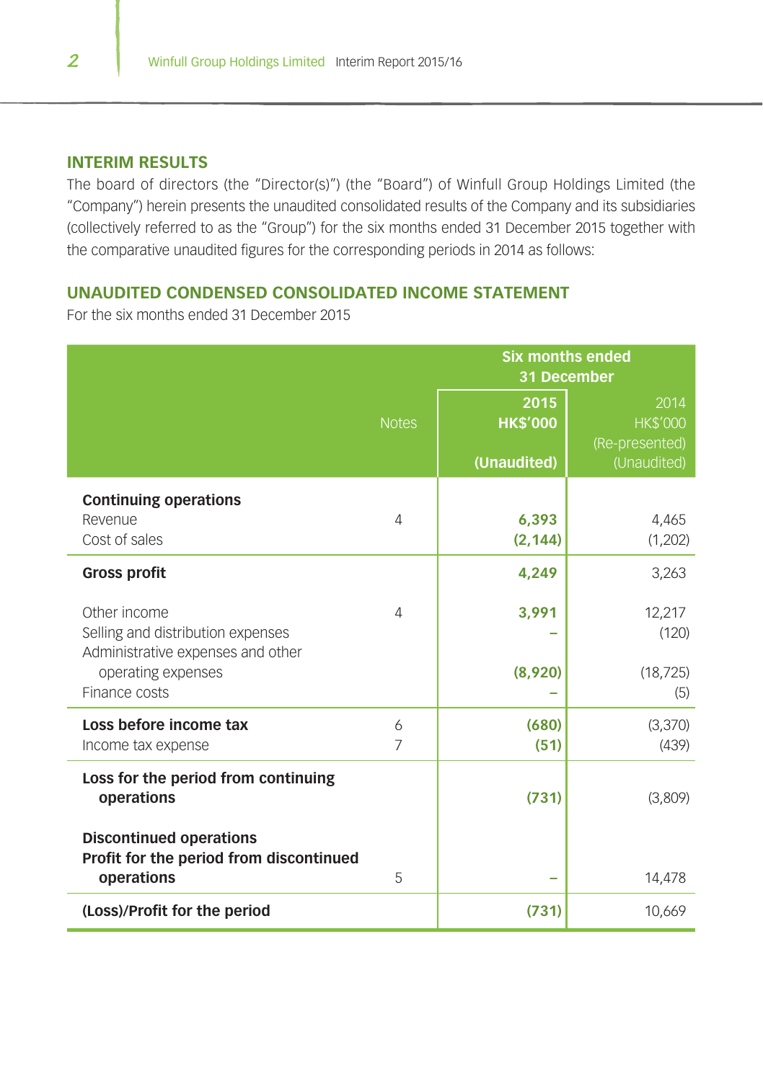#### **INTERIM RESULTS**

The board of directors (the "Director(s)") (the "Board") of Winfull Group Holdings Limited (the "Company") herein presents the unaudited consolidated results of the Company and its subsidiaries (collectively referred to as the "Group") for the six months ended 31 December 2015 together with the comparative unaudited figures for the corresponding periods in 2014 as follows:

## **UNAUDITED CONDENSED CONSOLIDATED INCOME STATEMENT**

|                                                                                                              |              | <b>Six months ended</b><br>31 December |                                                          |  |  |
|--------------------------------------------------------------------------------------------------------------|--------------|----------------------------------------|----------------------------------------------------------|--|--|
|                                                                                                              | <b>Notes</b> | 2015<br><b>HK\$'000</b><br>(Unaudited) | 2014<br><b>HK\$'000</b><br>(Re-presented)<br>(Unaudited) |  |  |
| <b>Continuing operations</b><br>Revenue<br>Cost of sales                                                     | 4            | 6,393<br>(2, 144)                      | 4,465<br>(1,202)                                         |  |  |
| <b>Gross profit</b>                                                                                          |              | 4,249                                  | 3,263                                                    |  |  |
| Other income<br>Selling and distribution expenses<br>Administrative expenses and other<br>operating expenses | 4            | 3,991<br>(8,920)                       | 12,217<br>(120)<br>(18, 725)                             |  |  |
| Finance costs                                                                                                |              |                                        | (5)                                                      |  |  |
| Loss before income tax<br>Income tax expense                                                                 | 6<br>7       | (680)<br>(51)                          | (3,370)<br>(439)                                         |  |  |
| Loss for the period from continuing<br>operations                                                            |              | (731)                                  | (3,809)                                                  |  |  |
| <b>Discontinued operations</b><br>Profit for the period from discontinued<br>operations                      | 5            |                                        | 14,478                                                   |  |  |
| (Loss)/Profit for the period                                                                                 |              | (731)                                  | 10,669                                                   |  |  |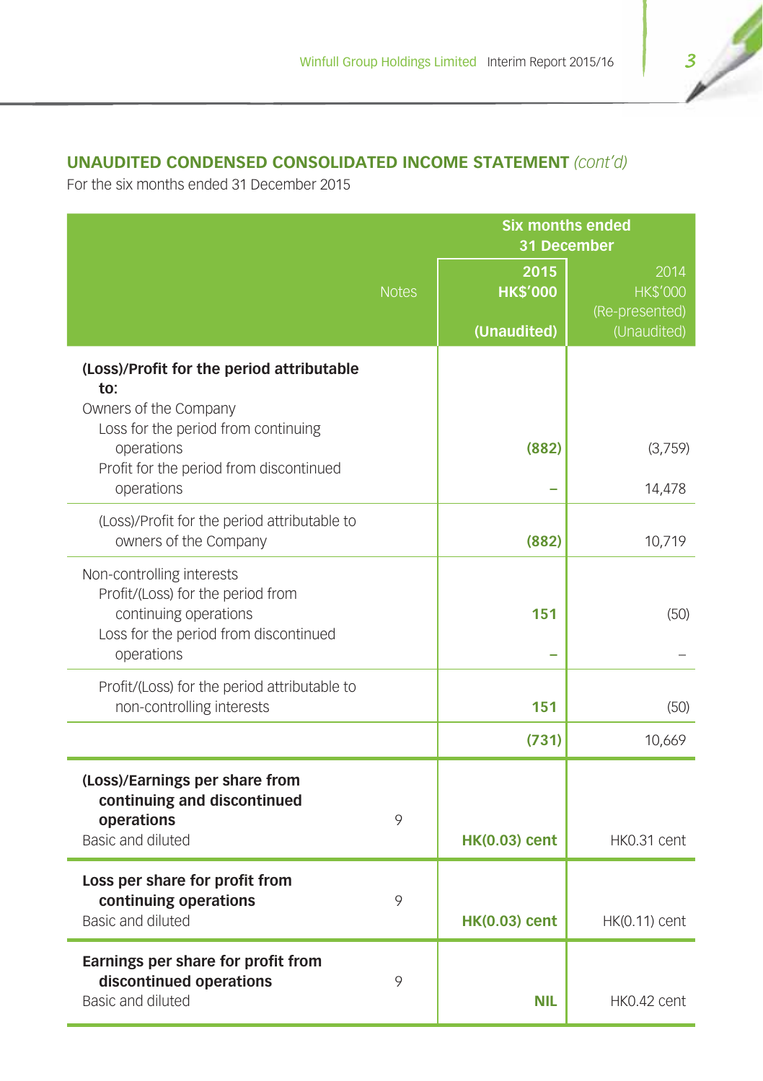## **UNAUDITED CONDENSED CONSOLIDATED INCOME STATEMENT** *(cont'd)*

|                                                                                                                                                |              | <b>Six months ended</b><br>31 December |                                           |  |  |
|------------------------------------------------------------------------------------------------------------------------------------------------|--------------|----------------------------------------|-------------------------------------------|--|--|
|                                                                                                                                                | <b>Notes</b> | 2015<br><b>HK\$'000</b>                | 2014<br><b>HK\$'000</b><br>(Re-presented) |  |  |
|                                                                                                                                                |              | (Unaudited)                            | (Unaudited)                               |  |  |
| (Loss)/Profit for the period attributable<br>to:<br>Owners of the Company<br>Loss for the period from continuing                               |              |                                        |                                           |  |  |
| operations<br>Profit for the period from discontinued<br>operations                                                                            |              | (882)                                  | (3,759)<br>14,478                         |  |  |
| (Loss)/Profit for the period attributable to<br>owners of the Company                                                                          |              | (882)                                  | 10,719                                    |  |  |
| Non-controlling interests<br>Profit/(Loss) for the period from<br>continuing operations<br>Loss for the period from discontinued<br>operations |              | 151                                    | (50)                                      |  |  |
| Profit/(Loss) for the period attributable to<br>non-controlling interests                                                                      |              | 151                                    | (50)                                      |  |  |
|                                                                                                                                                |              | (731)                                  | 10,669                                    |  |  |
| (Loss)/Earnings per share from<br>continuing and discontinued<br>operations<br>Basic and diluted                                               | 9            | <b>HK(0.03) cent</b>                   | HK0.31 cent                               |  |  |
| Loss per share for profit from<br>continuing operations<br>Basic and diluted                                                                   | 9            | <b>HK(0.03) cent</b>                   | HK(0.11) cent                             |  |  |
| Earnings per share for profit from<br>discontinued operations<br>Basic and diluted                                                             | 9            | <b>NIL</b>                             | HK0.42 cent                               |  |  |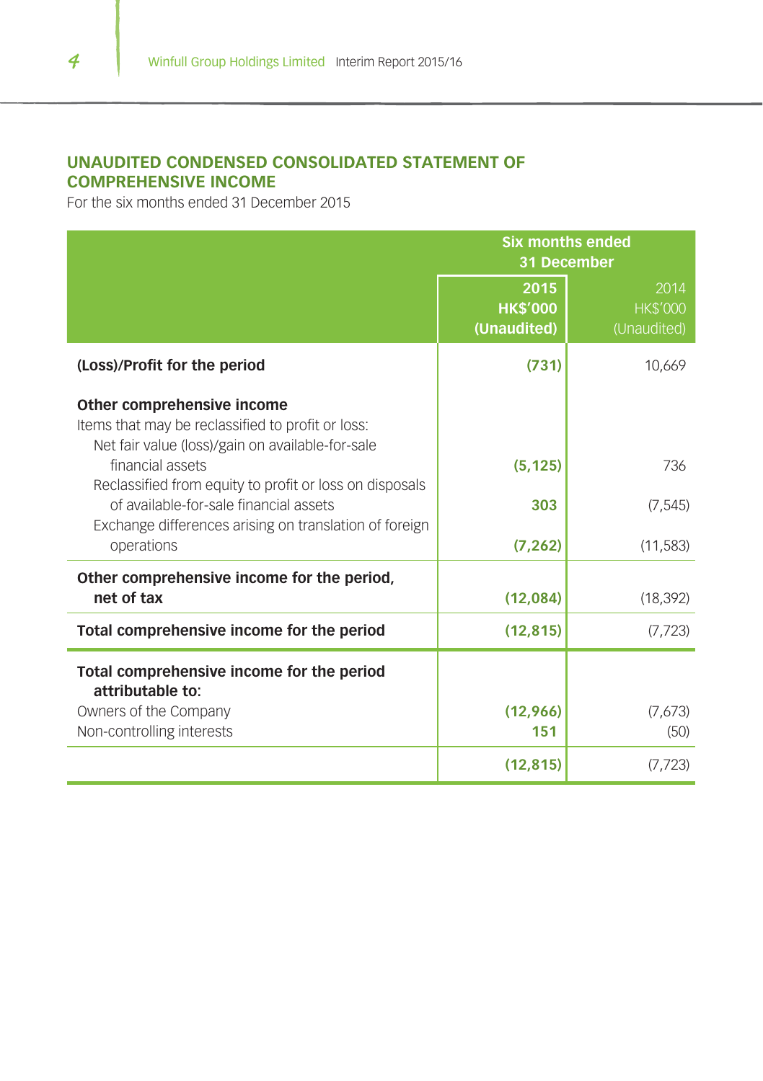## **UNAUDITED CONDENSED CONSOLIDATED STATEMENT OF COMPREHENSIVE INCOME**

|                                                                                                                                     | <b>Six months ended</b><br>31 December |                                        |  |  |
|-------------------------------------------------------------------------------------------------------------------------------------|----------------------------------------|----------------------------------------|--|--|
|                                                                                                                                     | 2015<br><b>HK\$'000</b><br>(Unaudited) | 2014<br><b>HK\$'000</b><br>(Unaudited) |  |  |
| (Loss)/Profit for the period                                                                                                        | (731)                                  | 10,669                                 |  |  |
| Other comprehensive income<br>Items that may be reclassified to profit or loss:<br>Net fair value (loss)/gain on available-for-sale |                                        |                                        |  |  |
| financial assets<br>Reclassified from equity to profit or loss on disposals                                                         | (5, 125)                               | 736                                    |  |  |
| of available-for-sale financial assets                                                                                              | 303                                    | (7, 545)                               |  |  |
| Exchange differences arising on translation of foreign<br>operations                                                                | (7, 262)                               | (11, 583)                              |  |  |
| Other comprehensive income for the period,<br>net of tax                                                                            | (12,084)                               | (18, 392)                              |  |  |
| Total comprehensive income for the period                                                                                           | (12, 815)                              | (7, 723)                               |  |  |
| Total comprehensive income for the period<br>attributable to:                                                                       |                                        |                                        |  |  |
| Owners of the Company<br>Non-controlling interests                                                                                  | (12,966)<br>151                        | (7,673)<br>(50)                        |  |  |
|                                                                                                                                     | (12, 815)                              | (7, 723)                               |  |  |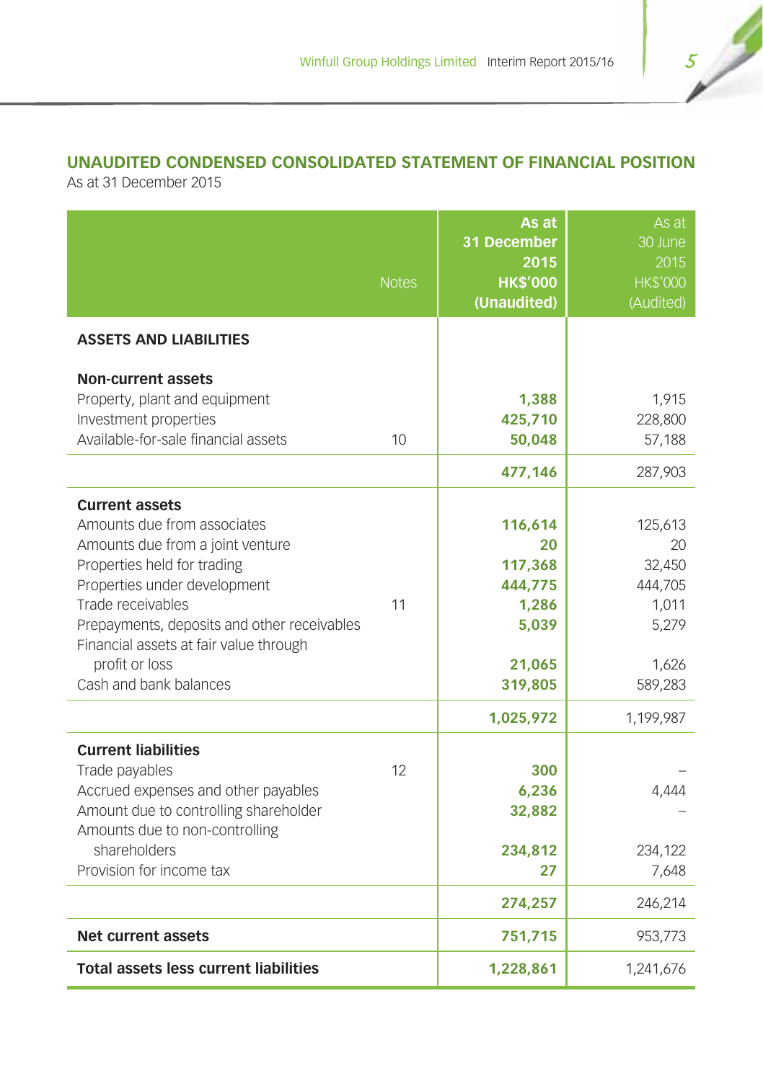## **UNAUDITED CONDENSED CONSOLIDATED STATEMENT OF FINANCIAL POSITION**

As at 31 December 2015

|                                                                                                                                                                                                                                                                                                                   | <b>Notes</b> | As at<br>31 December<br>2015<br><b>HK\$'000</b><br>(Unaudited)             | As at<br>30 June<br>2015<br><b>HK\$'000</b><br>(Audited)                 |
|-------------------------------------------------------------------------------------------------------------------------------------------------------------------------------------------------------------------------------------------------------------------------------------------------------------------|--------------|----------------------------------------------------------------------------|--------------------------------------------------------------------------|
| <b>ASSETS AND LIABILITIES</b>                                                                                                                                                                                                                                                                                     |              |                                                                            |                                                                          |
| <b>Non-current assets</b><br>Property, plant and equipment<br>Investment properties<br>Available-for-sale financial assets                                                                                                                                                                                        | 10           | 1,388<br>425,710<br>50,048<br>477,146                                      | 1,915<br>228,800<br>57,188<br>287,903                                    |
| <b>Current assets</b><br>Amounts due from associates<br>Amounts due from a joint venture<br>Properties held for trading<br>Properties under development<br>Trade receivables<br>Prepayments, deposits and other receivables<br>Financial assets at fair value through<br>profit or loss<br>Cash and bank balances | 11           | 116,614<br>20<br>117,368<br>444,775<br>1,286<br>5,039<br>21,065<br>319,805 | 125,613<br>20<br>32,450<br>444,705<br>1,011<br>5,279<br>1,626<br>589,283 |
| <b>Current liabilities</b><br>Trade payables<br>Accrued expenses and other payables<br>Amount due to controlling shareholder<br>Amounts due to non-controlling<br>shareholders<br>Provision for income tax                                                                                                        | 12           | 1,025,972<br>300<br>6,236<br>32,882<br>234,812<br>27<br>274,257            | 1,199,987<br>4,444<br>234,122<br>7,648<br>246,214                        |
| <b>Net current assets</b>                                                                                                                                                                                                                                                                                         |              | 751,715                                                                    | 953,773                                                                  |
| <b>Total assets less current liabilities</b>                                                                                                                                                                                                                                                                      |              | 1,228,861                                                                  | 1,241,676                                                                |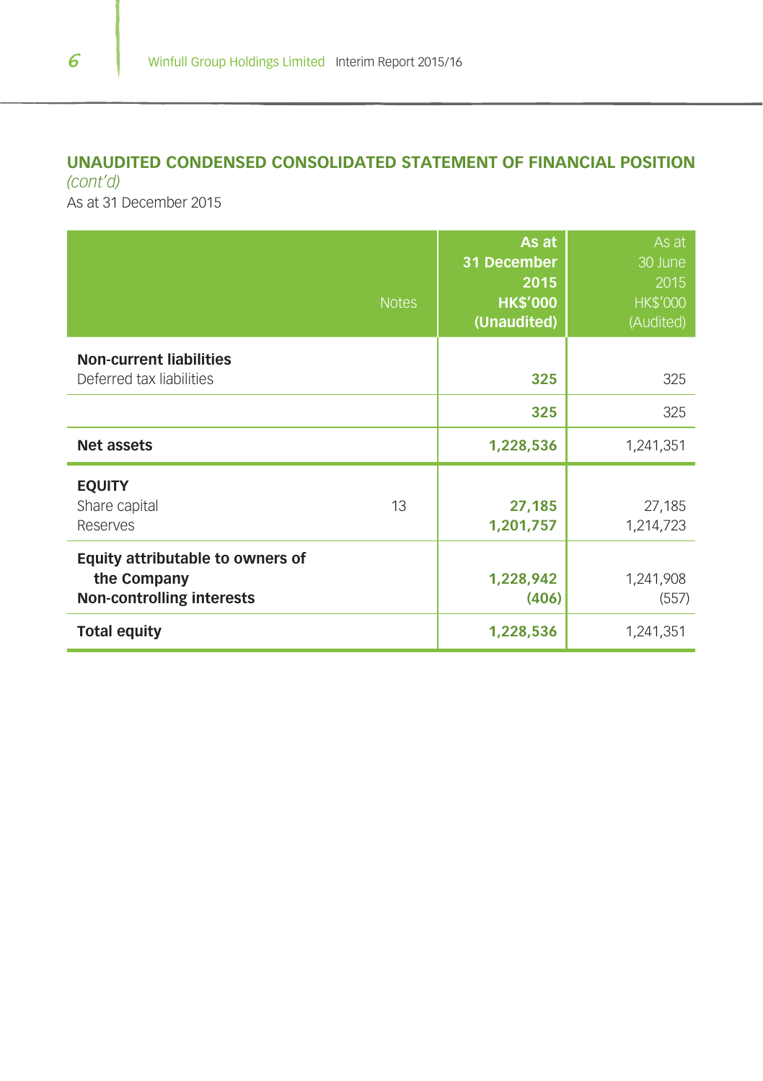## **UNAUDITED CONDENSED CONSOLIDATED STATEMENT OF FINANCIAL POSITION**  *(cont'd)*

As at 31 December 2015

| <b>Notes</b>                                                                        | As at<br>31 December<br>2015<br><b>HK\$'000</b><br>(Unaudited) | As at<br>30 June<br>2015<br><b>HK\$'000</b><br>(Audited) |
|-------------------------------------------------------------------------------------|----------------------------------------------------------------|----------------------------------------------------------|
| <b>Non-current liabilities</b><br>Deferred tax liabilities                          | 325                                                            | 325                                                      |
|                                                                                     | 325                                                            | 325                                                      |
| <b>Net assets</b>                                                                   | 1,228,536                                                      | 1,241,351                                                |
| <b>EQUITY</b><br>13<br>Share capital<br>Reserves                                    | 27,185<br>1,201,757                                            | 27,185<br>1,214,723                                      |
| Equity attributable to owners of<br>the Company<br><b>Non-controlling interests</b> | 1,228,942<br>(406)                                             | 1,241,908<br>(557)                                       |
| <b>Total equity</b>                                                                 | 1,228,536                                                      | 1,241,351                                                |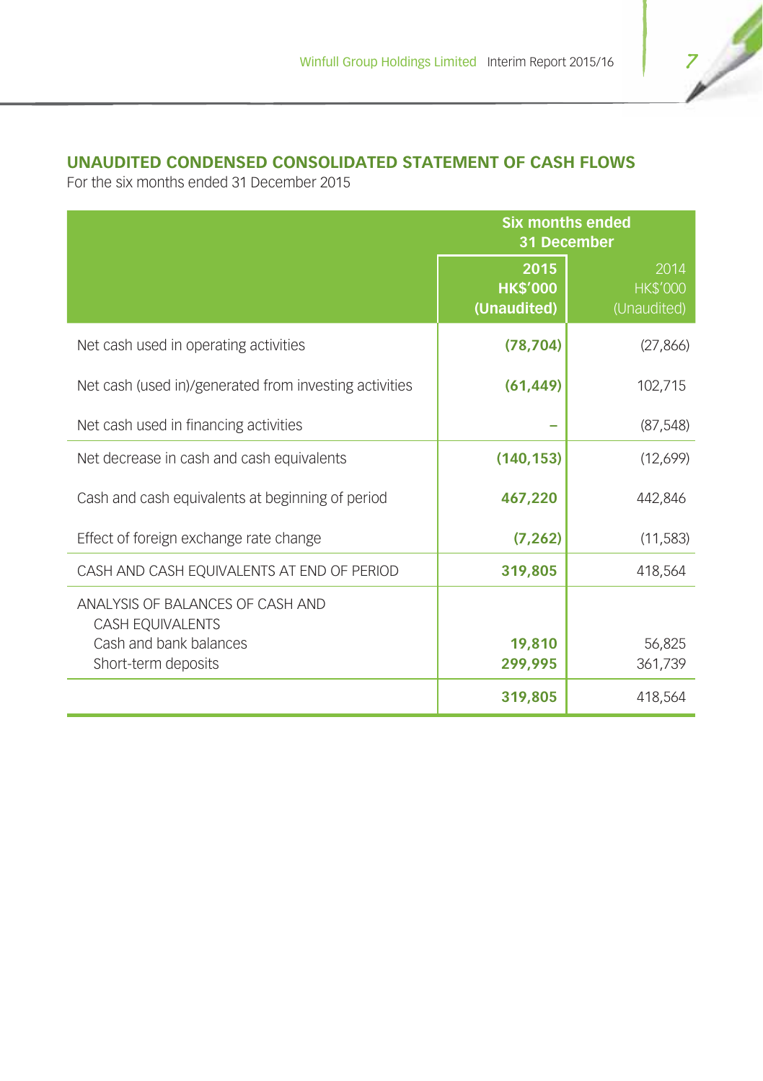## **UNAUDITED CONDENSED CONSOLIDATED STATEMENT OF CASH FLOWS**

|                                                        | <b>Six months ended</b><br>31 December |                                        |  |  |
|--------------------------------------------------------|----------------------------------------|----------------------------------------|--|--|
|                                                        | 2015<br><b>HK\$'000</b><br>(Unaudited) | 2014<br><b>HK\$'000</b><br>(Unaudited) |  |  |
| Net cash used in operating activities                  | (78, 704)                              | (27, 866)                              |  |  |
| Net cash (used in)/generated from investing activities | (61, 449)                              | 102,715                                |  |  |
| Net cash used in financing activities                  |                                        | (87, 548)                              |  |  |
| Net decrease in cash and cash equivalents              | (140, 153)                             | (12,699)                               |  |  |
| Cash and cash equivalents at beginning of period       | 467,220                                | 442,846                                |  |  |
| Effect of foreign exchange rate change                 | (7, 262)                               | (11, 583)                              |  |  |
| CASH AND CASH EQUIVALENTS AT END OF PERIOD             | 319,805                                | 418,564                                |  |  |
| ANALYSIS OF BALANCES OF CASH AND<br>CASH EQUIVALENTS   |                                        |                                        |  |  |
| Cash and bank balances<br>Short-term deposits          | 19,810<br>299,995                      | 56,825<br>361,739                      |  |  |
|                                                        | 319,805                                | 418,564                                |  |  |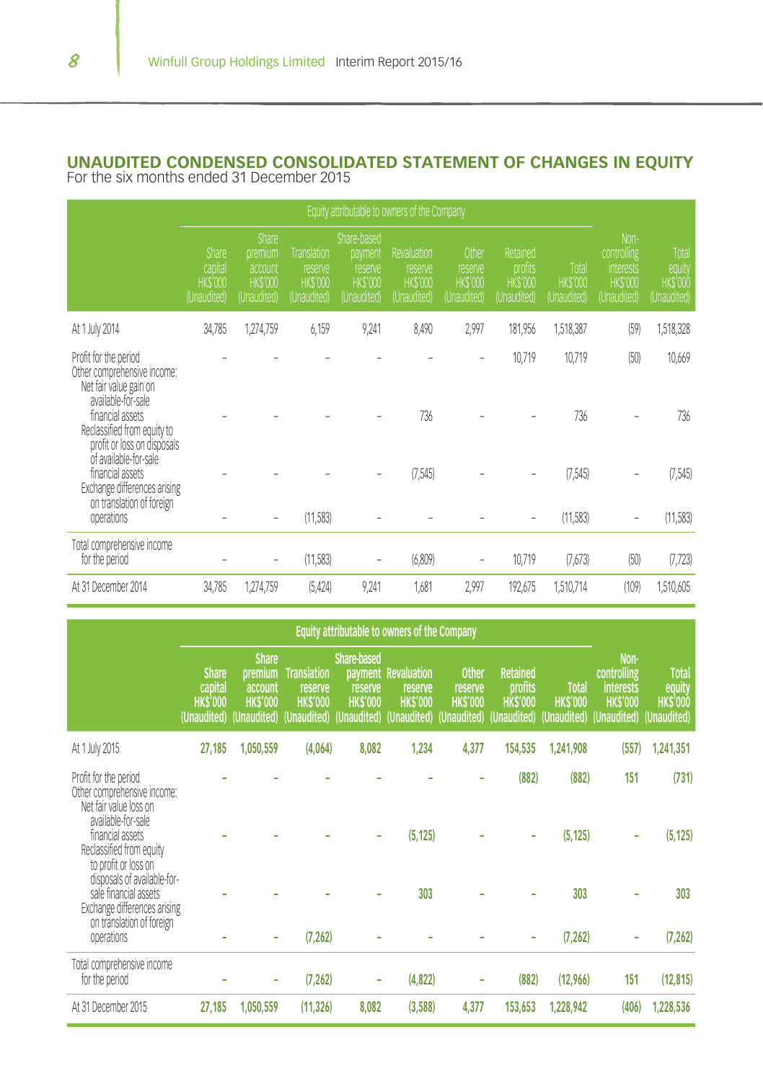## **UNAUDITED CONDENSED CONSOLIDATED STATEMENT OF CHANGES IN EQUITY** For the six months ended 31 December 2015

|                                                                                                         | Equity attributable to owners of the Company             |                                                              |                                                                 |                                                                    |                                                                |                                                   |                                                      |                                         |                                                                          |                                                  |
|---------------------------------------------------------------------------------------------------------|----------------------------------------------------------|--------------------------------------------------------------|-----------------------------------------------------------------|--------------------------------------------------------------------|----------------------------------------------------------------|---------------------------------------------------|------------------------------------------------------|-----------------------------------------|--------------------------------------------------------------------------|--------------------------------------------------|
|                                                                                                         | <b>Share</b><br>capital<br><b>HKS'000</b><br>(Unaudited) | Share<br>premium<br>account<br><b>HKS'000</b><br>(Unaudited) | <b>Translation</b><br>reserve<br><b>HK\$'000</b><br>(Unaudited) | Share-based<br>payment<br>reserve<br><b>HKS'000</b><br>(Unaudited) | <b>Revaluation</b><br>reserve<br><b>HKS'000</b><br>(Unaudited) | Other<br>reserve<br><b>HKS'000</b><br>(Unaudited) | Retained<br>profits<br><b>HKS'000</b><br>(Unaudited) | Total<br><b>HK\$'000</b><br>(Unaudited) | Non-<br>controlling<br><b>Interests</b><br><b>HKS'000</b><br>(Unaudited) | Total<br>equity<br><b>HKS'000</b><br>(Unaudited) |
| At 1 July 2014                                                                                          | 34,785                                                   | 1,274,759                                                    | 6,159                                                           | 9,241                                                              | 8,490                                                          | 2,997                                             | 181,956                                              | 1,518,387                               | (59)                                                                     | 1,518,328                                        |
| Profit for the period<br>Other comprehensive income:<br>Net fair value gain on<br>available-for-sale    |                                                          |                                                              |                                                                 |                                                                    |                                                                |                                                   | 10,719                                               | 10,719                                  | (50)                                                                     | 10,669                                           |
| financial assets<br>Reclassified from equity to<br>profit or loss on disposals<br>of available-for-sale |                                                          |                                                              |                                                                 |                                                                    | 736                                                            |                                                   |                                                      | 736                                     |                                                                          | 736                                              |
| financial assets<br>Exchange differences arising<br>on translation of foreign                           |                                                          |                                                              |                                                                 |                                                                    | (7,545)                                                        |                                                   |                                                      | (7,545)                                 |                                                                          | (7,545)                                          |
| operations                                                                                              |                                                          | -                                                            | (11,583)                                                        |                                                                    |                                                                |                                                   | ۰                                                    | (11,583)                                | $\qquad \qquad \blacksquare$                                             | (11,583)                                         |
| Total comprehensive income<br>for the period                                                            |                                                          |                                                              | (11,583)                                                        |                                                                    | (6,809)                                                        |                                                   | 10,719                                               | (7,673)                                 | (50)                                                                     | (7, 723)                                         |
| At 31 December 2014                                                                                     | 34,785                                                   | 1,274,759                                                    | (5, 424)                                                        | 9,241                                                              | 1,681                                                          | 2,997                                             | 192,675                                              | 1,510,714                               | (109)                                                                    | 1,510,605                                        |

|                                                                                                      | Equity attributable to owners of the Company             |                                                                      |                                                                |                                                                 |                                                                 |                                                          |                                                             |                                               |                                                                           |                                                         |
|------------------------------------------------------------------------------------------------------|----------------------------------------------------------|----------------------------------------------------------------------|----------------------------------------------------------------|-----------------------------------------------------------------|-----------------------------------------------------------------|----------------------------------------------------------|-------------------------------------------------------------|-----------------------------------------------|---------------------------------------------------------------------------|---------------------------------------------------------|
|                                                                                                      | <b>Share</b><br>capital<br><b>HKS'000</b><br>(Unaudited) | <b>Share</b><br>premium<br>account<br><b>HK\$'000</b><br>(Unaudited) | <b>Translation</b><br>reserve<br><b>HKS'000</b><br>(Unaudited) | <b>Share-based</b><br>reserve<br><b>HK\$'000</b><br>(Unaudited) | payment Revaluation<br>reserve<br><b>HKS'000</b><br>(Unaudited) | <b>Other</b><br>reserve<br><b>HKS'000</b><br>(Unaudited) | <b>Retained</b><br>profits<br><b>HKS'000</b><br>(Unaudited) | <b>Total</b><br><b>HKS'000</b><br>(Unaudited) | Non-<br>controlling<br><b>interests</b><br><b>HK\$'000</b><br>(Unaudited) | <b>Total</b><br>equity<br><b>HKS'000</b><br>(Unaudited) |
| At 1 July 2015                                                                                       | 27,185                                                   | 1,050,559                                                            | (4,064)                                                        | 8,082                                                           | 1,234                                                           | 4,377                                                    | 154,535                                                     | 1,241,908                                     | (557)                                                                     | 1,241,351                                               |
| Profit for the period<br>Other comprehensive income:<br>Net fair value loss on<br>available-for-sale |                                                          |                                                                      |                                                                |                                                                 |                                                                 |                                                          | (882)                                                       | (882)                                         | 151                                                                       | (731)                                                   |
| financial assets<br>Reclassified from equity<br>to profit or loss on<br>disposals of available-for-  |                                                          |                                                                      |                                                                |                                                                 | (5, 125)                                                        |                                                          |                                                             | (5, 125)                                      |                                                                           | (5, 125)                                                |
| sale financial assets<br>Exchange differences arising<br>on translation of foreign                   |                                                          |                                                                      |                                                                |                                                                 | 303                                                             |                                                          |                                                             | 303                                           |                                                                           | 303                                                     |
| operations                                                                                           |                                                          | ٠                                                                    | (7, 262)                                                       |                                                                 |                                                                 |                                                          |                                                             | (7, 262)                                      |                                                                           | (7, 262)                                                |
| Total comprehensive income<br>for the period                                                         |                                                          | ۰                                                                    | (7, 262)                                                       |                                                                 | (4, 822)                                                        |                                                          | (882)                                                       | (12,966)                                      | 151                                                                       | (12, 815)                                               |
| At 31 December 2015                                                                                  | 27,185                                                   | 1,050,559                                                            | (11, 326)                                                      | 8,082                                                           | (3,588)                                                         | 4,377                                                    | 153,653                                                     | 1,228,942                                     | (406)                                                                     | 1,228,536                                               |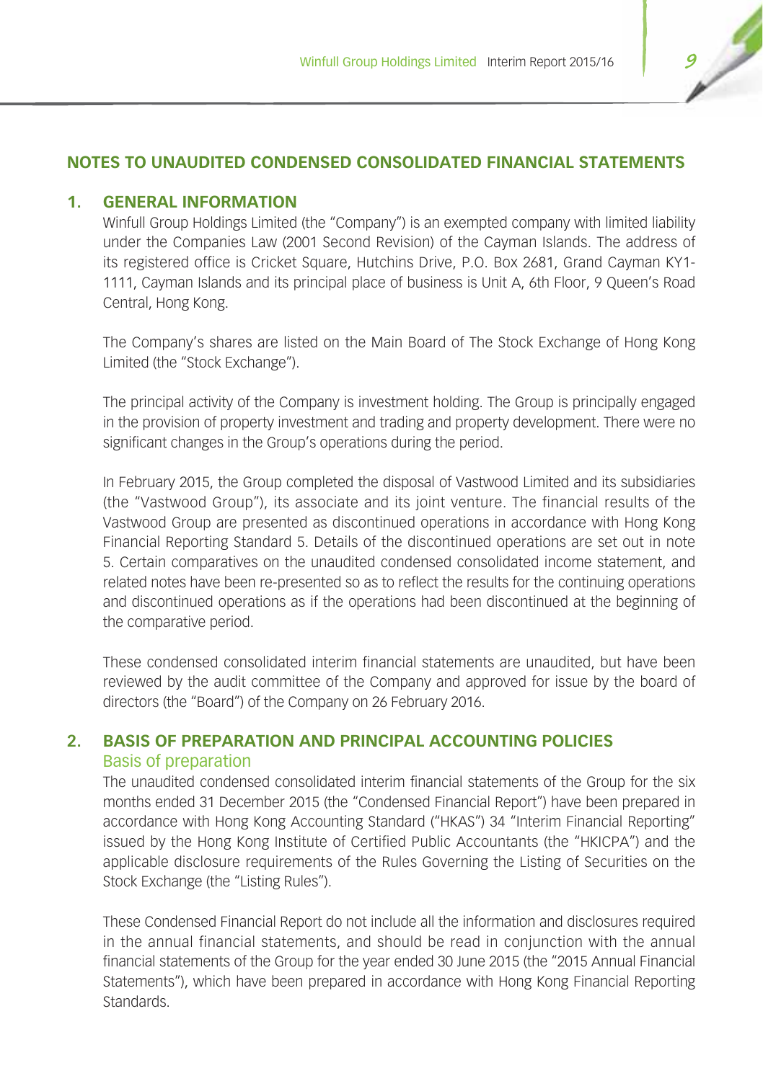## **NOTES TO UNAUDITED CONDENSED CONSOLIDATED FINANCIAL STATEMENTS**

## **1. GENERAL INFORMATION**

Winfull Group Holdings Limited (the "Company") is an exempted company with limited liability under the Companies Law (2001 Second Revision) of the Cayman Islands. The address of its registered office is Cricket Square, Hutchins Drive, P.O. Box 2681, Grand Cayman KY1- 1111, Cayman Islands and its principal place of business is Unit A, 6th Floor, 9 Queen's Road Central, Hong Kong.

The Company's shares are listed on the Main Board of The Stock Exchange of Hong Kong Limited (the "Stock Exchange").

The principal activity of the Company is investment holding. The Group is principally engaged in the provision of property investment and trading and property development. There were no significant changes in the Group's operations during the period.

In February 2015, the Group completed the disposal of Vastwood Limited and its subsidiaries (the "Vastwood Group"), its associate and its joint venture. The financial results of the Vastwood Group are presented as discontinued operations in accordance with Hong Kong Financial Reporting Standard 5. Details of the discontinued operations are set out in note 5. Certain comparatives on the unaudited condensed consolidated income statement, and related notes have been re-presented so as to reflect the results for the continuing operations and discontinued operations as if the operations had been discontinued at the beginning of the comparative period.

These condensed consolidated interim financial statements are unaudited, but have been reviewed by the audit committee of the Company and approved for issue by the board of directors (the "Board") of the Company on 26 February 2016.

## **2. BASIS OF PREPARATION AND PRINCIPAL ACCOUNTING POLICIES**

## Basis of preparation

The unaudited condensed consolidated interim financial statements of the Group for the six months ended 31 December 2015 (the "Condensed Financial Report") have been prepared in accordance with Hong Kong Accounting Standard ("HKAS") 34 "Interim Financial Reporting" issued by the Hong Kong Institute of Certified Public Accountants (the "HKICPA") and the applicable disclosure requirements of the Rules Governing the Listing of Securities on the Stock Exchange (the "Listing Rules").

These Condensed Financial Report do not include all the information and disclosures required in the annual financial statements, and should be read in conjunction with the annual financial statements of the Group for the year ended 30 June 2015 (the "2015 Annual Financial Statements"), which have been prepared in accordance with Hong Kong Financial Reporting **Standards**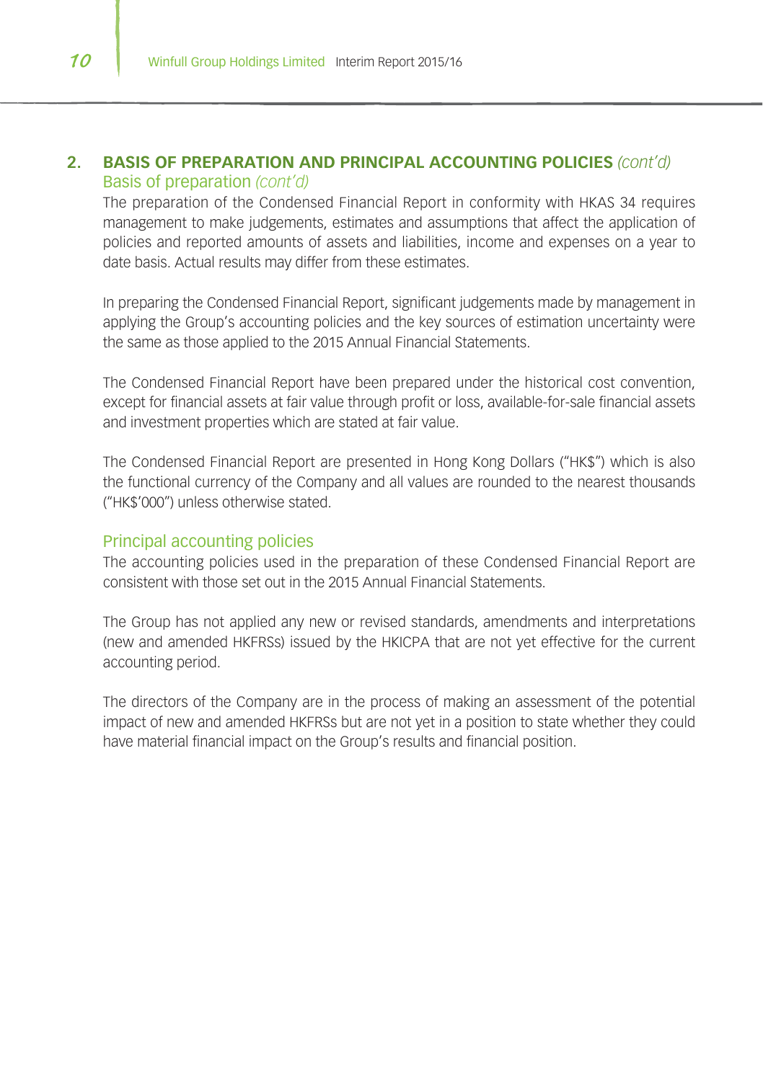## **2. BASIS OF PREPARATION AND PRINCIPAL ACCOUNTING POLICIES** *(cont'd)* Basis of preparation *(cont'd)*

The preparation of the Condensed Financial Report in conformity with HKAS 34 requires management to make judgements, estimates and assumptions that affect the application of policies and reported amounts of assets and liabilities, income and expenses on a year to date basis. Actual results may differ from these estimates.

In preparing the Condensed Financial Report, significant judgements made by management in applying the Group's accounting policies and the key sources of estimation uncertainty were the same as those applied to the 2015 Annual Financial Statements.

The Condensed Financial Report have been prepared under the historical cost convention, except for financial assets at fair value through profit or loss, available-for-sale financial assets and investment properties which are stated at fair value.

The Condensed Financial Report are presented in Hong Kong Dollars ("HK\$") which is also the functional currency of the Company and all values are rounded to the nearest thousands ("HK\$'000") unless otherwise stated.

#### Principal accounting policies

The accounting policies used in the preparation of these Condensed Financial Report are consistent with those set out in the 2015 Annual Financial Statements.

The Group has not applied any new or revised standards, amendments and interpretations (new and amended HKFRSs) issued by the HKICPA that are not yet effective for the current accounting period.

The directors of the Company are in the process of making an assessment of the potential impact of new and amended HKFRSs but are not yet in a position to state whether they could have material financial impact on the Group's results and financial position.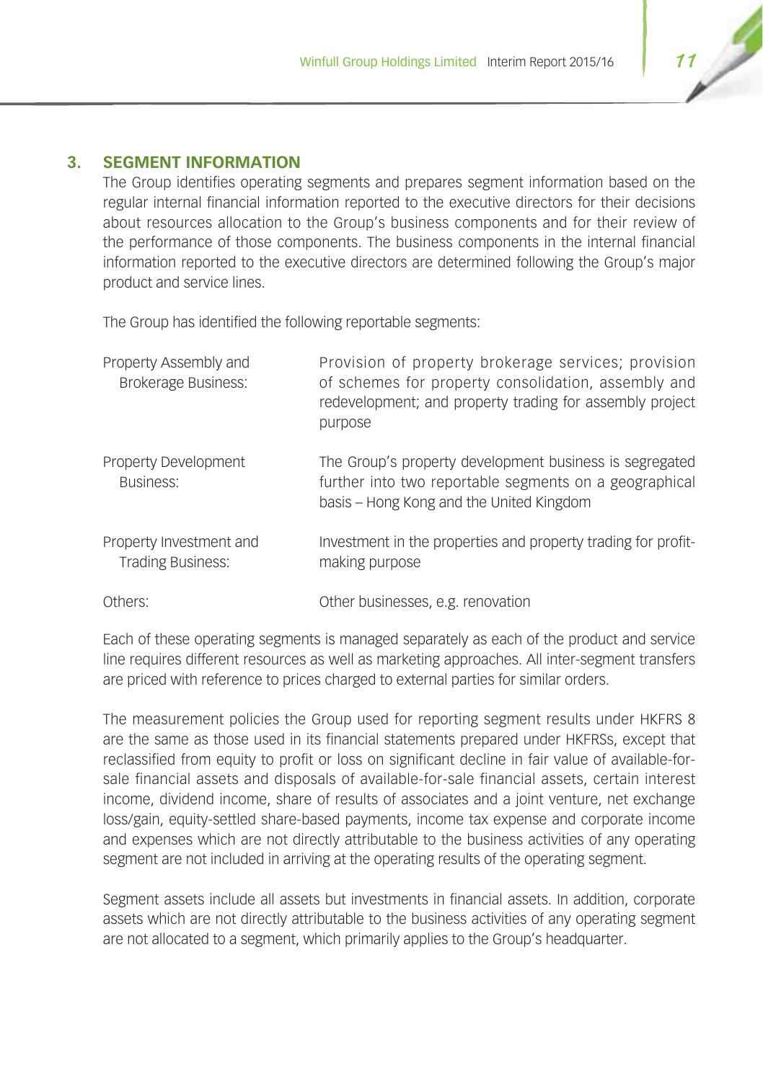## **3. SEGMENT INFORMATION**

The Group identifies operating segments and prepares segment information based on the regular internal financial information reported to the executive directors for their decisions about resources allocation to the Group's business components and for their review of the performance of those components. The business components in the internal financial information reported to the executive directors are determined following the Group's major product and service lines.

The Group has identified the following reportable segments:

| Property Assembly and<br><b>Brokerage Business:</b> | Provision of property brokerage services; provision<br>of schemes for property consolidation, assembly and<br>redevelopment; and property trading for assembly project<br>purpose |
|-----------------------------------------------------|-----------------------------------------------------------------------------------------------------------------------------------------------------------------------------------|
| Property Development<br>Business:                   | The Group's property development business is segregated<br>further into two reportable segments on a geographical<br>basis – Hong Kong and the United Kingdom                     |
| Property Investment and<br><b>Trading Business:</b> | Investment in the properties and property trading for profit-<br>making purpose                                                                                                   |
| Others:                                             | Other businesses, e.g. renovation                                                                                                                                                 |

Each of these operating segments is managed separately as each of the product and service line requires different resources as well as marketing approaches. All inter-segment transfers are priced with reference to prices charged to external parties for similar orders.

The measurement policies the Group used for reporting segment results under HKFRS 8 are the same as those used in its financial statements prepared under HKFRSs, except that reclassified from equity to profit or loss on significant decline in fair value of available-forsale financial assets and disposals of available-for-sale financial assets, certain interest income, dividend income, share of results of associates and a joint venture, net exchange loss/gain, equity-settled share-based payments, income tax expense and corporate income and expenses which are not directly attributable to the business activities of any operating segment are not included in arriving at the operating results of the operating segment.

Segment assets include all assets but investments in financial assets. In addition, corporate assets which are not directly attributable to the business activities of any operating segment are not allocated to a segment, which primarily applies to the Group's headquarter.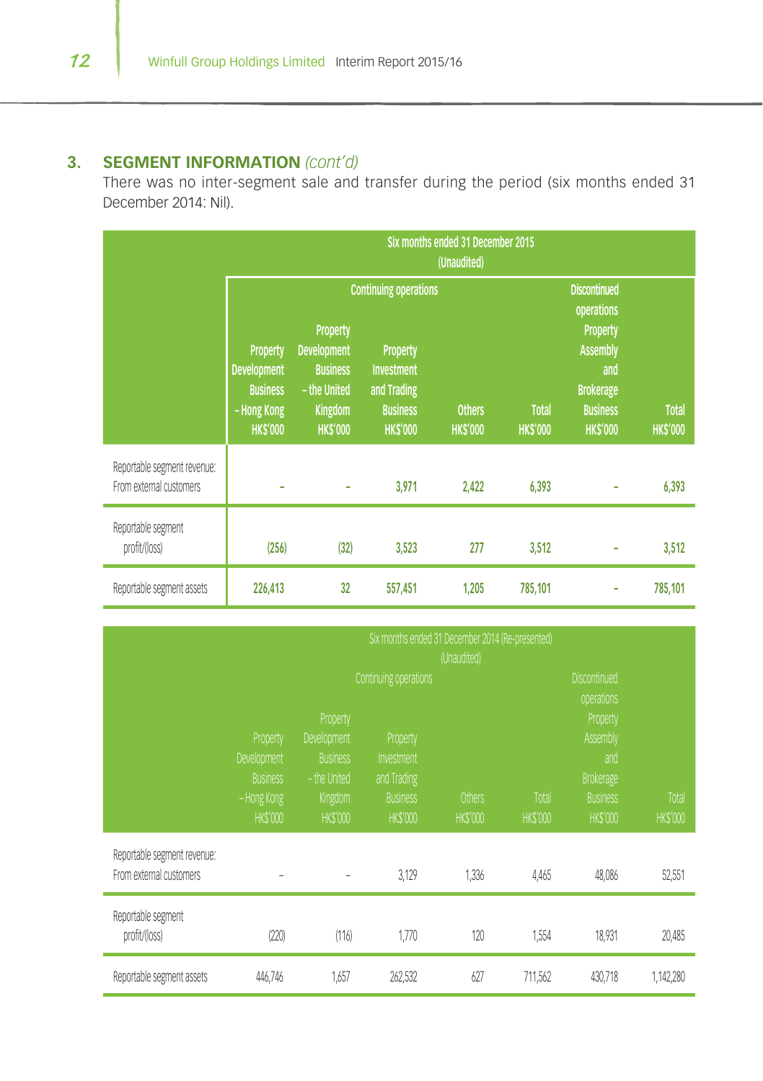## **3. SEGMENT INFORMATION** *(cont'd)*

There was no inter-segment sale and transfer during the period (six months ended 31 December 2014: Nil).

|                                                        | Six months ended 31 December 2015<br>(Unaudited)                                          |                                                                                                       |                                                                                                                           |                                |                                                                                                                                          |                                 |         |  |
|--------------------------------------------------------|-------------------------------------------------------------------------------------------|-------------------------------------------------------------------------------------------------------|---------------------------------------------------------------------------------------------------------------------------|--------------------------------|------------------------------------------------------------------------------------------------------------------------------------------|---------------------------------|---------|--|
|                                                        | <b>Property</b><br><b>Development</b><br><b>Business</b><br>- Hong Kong<br><b>HKS'000</b> | <b>Property</b><br><b>Development</b><br><b>Business</b><br>- the United<br>Kingdom<br><b>HKS'000</b> | <b>Continuing operations</b><br><b>Property</b><br><b>Investment</b><br>and Trading<br><b>Business</b><br><b>HK\$'000</b> | <b>Total</b><br><b>HKS'000</b> | <b>Discontinued</b><br>operations<br><b>Property</b><br><b>Assembly</b><br>and<br><b>Brokerage</b><br><b>Business</b><br><b>HK\$'000</b> | <b>Total</b><br><b>HK\$'000</b> |         |  |
| Reportable segment revenue:<br>From external customers |                                                                                           | ٠                                                                                                     | 3,971                                                                                                                     | 2,422                          | 6,393                                                                                                                                    |                                 | 6,393   |  |
| Reportable segment<br>profit/(loss)                    | (256)                                                                                     | (32)                                                                                                  | 3,523                                                                                                                     | 277                            | 3,512                                                                                                                                    |                                 | 3,512   |  |
| Reportable segment assets                              | 226,413                                                                                   | 32                                                                                                    | 557,451                                                                                                                   | 1,205                          | 785,101                                                                                                                                  |                                 | 785,101 |  |

|                                                        | Six months ended 31 December 2014 (Re-presented)<br>(Unaudited) |                                                            |                                       |                                 |                          |                                                 |                         |  |
|--------------------------------------------------------|-----------------------------------------------------------------|------------------------------------------------------------|---------------------------------------|---------------------------------|--------------------------|-------------------------------------------------|-------------------------|--|
|                                                        | Continuing operations                                           |                                                            |                                       |                                 |                          | <b>Discontinued</b><br>operations               |                         |  |
|                                                        | Property<br>Development<br><b>Business</b>                      | Property<br>Development<br><b>Business</b><br>- the United | Property<br>Investment<br>and Trading |                                 |                          | Property<br>Assembly<br>and<br><b>Brokerage</b> |                         |  |
|                                                        | - Hong Kong<br><b>HKS'000</b>                                   | Kingdom<br><b>HKS'000</b>                                  | <b>Business</b><br><b>HKS'000</b>     | <b>Others</b><br><b>HKS'000</b> | Total<br><b>HK\$'000</b> | <b>Business</b><br><b>HKS'000</b>               | Total<br><b>HKS'000</b> |  |
| Reportable segment revenue:<br>From external customers |                                                                 | -                                                          | 3,129                                 | 1,336                           | 4,465                    | 48,086                                          | 52,551                  |  |
| Reportable segment<br>profit/(loss)                    | (220)                                                           | (116)                                                      | 1,770                                 | 120                             | 1,554                    | 18,931                                          | 20,485                  |  |
| Reportable segment assets                              | 446,746                                                         | 1.657                                                      | 262,532                               | 627                             | 711,562                  | 430,718                                         | 1,142,280               |  |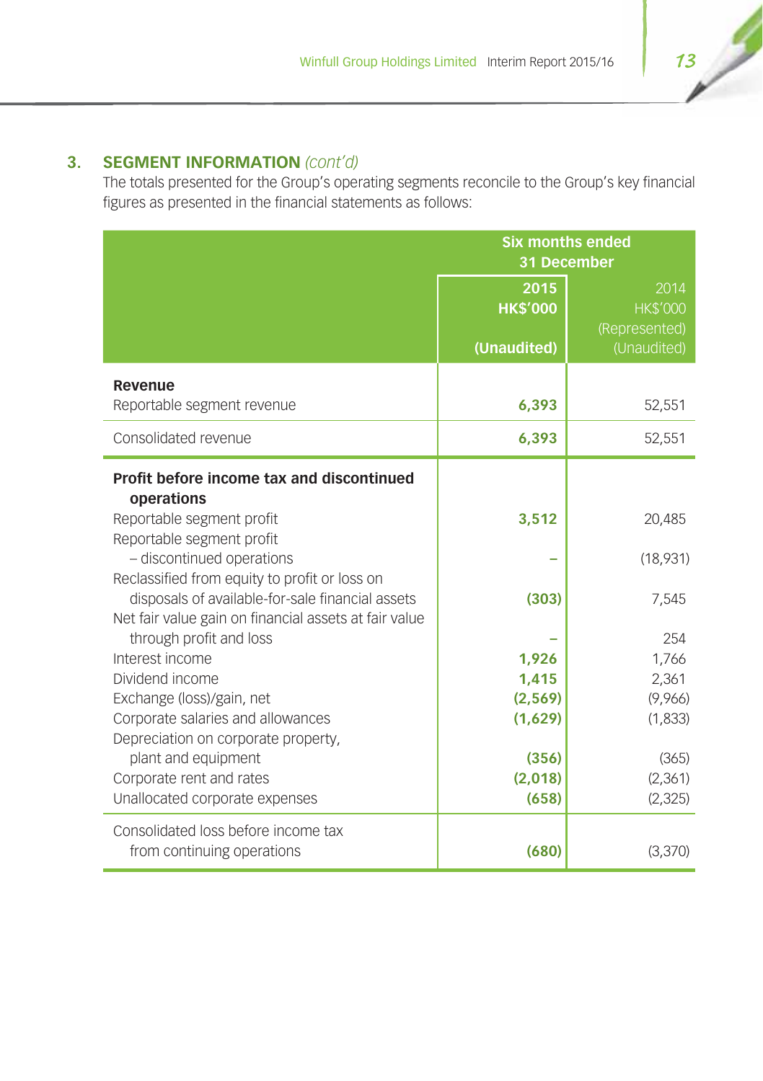## **3. SEGMENT INFORMATION** *(cont'd)*

The totals presented for the Group's operating segments reconcile to the Group's key financial figures as presented in the financial statements as follows:

|                                                                                                                                                                                                                                                                                                                                                                                                                                                                                                               | <b>Six months ended</b><br>31 December                           |                                                                                     |  |
|---------------------------------------------------------------------------------------------------------------------------------------------------------------------------------------------------------------------------------------------------------------------------------------------------------------------------------------------------------------------------------------------------------------------------------------------------------------------------------------------------------------|------------------------------------------------------------------|-------------------------------------------------------------------------------------|--|
|                                                                                                                                                                                                                                                                                                                                                                                                                                                                                                               | 2015<br><b>HK\$'000</b>                                          | 2014<br><b>HK\$'000</b><br>(Represented)                                            |  |
|                                                                                                                                                                                                                                                                                                                                                                                                                                                                                                               | (Unaudited)                                                      | (Unaudited)                                                                         |  |
| Revenue<br>Reportable segment revenue                                                                                                                                                                                                                                                                                                                                                                                                                                                                         | 6,393                                                            | 52,551                                                                              |  |
| Consolidated revenue                                                                                                                                                                                                                                                                                                                                                                                                                                                                                          | 6,393                                                            | 52,551                                                                              |  |
| Profit before income tax and discontinued<br>operations<br>Reportable segment profit<br>Reportable segment profit<br>- discontinued operations<br>Reclassified from equity to profit or loss on<br>disposals of available-for-sale financial assets<br>Net fair value gain on financial assets at fair value<br>through profit and loss<br>Interest income<br>Dividend income<br>Exchange (loss)/gain, net<br>Corporate salaries and allowances<br>Depreciation on corporate property,<br>plant and equipment | 3,512<br>(303)<br>1,926<br>1,415<br>(2, 569)<br>(1,629)<br>(356) | 20,485<br>(18,931)<br>7,545<br>254<br>1,766<br>2,361<br>(9,966)<br>(1,833)<br>(365) |  |
| Corporate rent and rates<br>Unallocated corporate expenses                                                                                                                                                                                                                                                                                                                                                                                                                                                    | (2,018)<br>(658)                                                 | (2,361)<br>(2, 325)                                                                 |  |
| Consolidated loss before income tax<br>from continuing operations                                                                                                                                                                                                                                                                                                                                                                                                                                             | (680)                                                            | (3,370)                                                                             |  |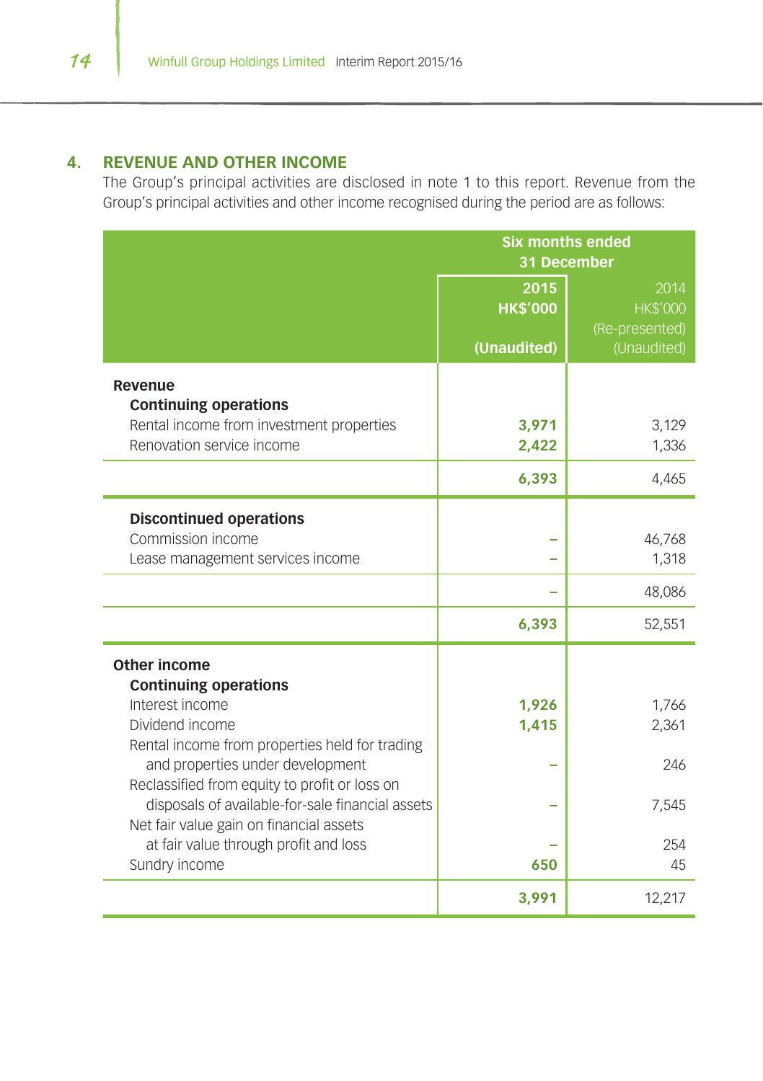## **4. REVENUE AND OTHER INCOME**

The Group's principal activities are disclosed in note 1 to this report. Revenue from the Group's principal activities and other income recognised during the period are as follows:

|                                                  | <b>Six months ended</b> |                 |
|--------------------------------------------------|-------------------------|-----------------|
|                                                  | 31 December             |                 |
|                                                  | 2015                    | 2014            |
|                                                  | <b>HK\$'000</b>         | <b>HK\$'000</b> |
|                                                  |                         | (Re-presented)  |
|                                                  | (Unaudited)             | (Unaudited)     |
| Revenue<br><b>Continuing operations</b>          |                         |                 |
| Rental income from investment properties         | 3.971                   | 3,129           |
| Renovation service income                        | 2,422                   | 1,336           |
|                                                  | 6,393                   | 4,465           |
| <b>Discontinued operations</b>                   |                         |                 |
| Commission income                                |                         | 46,768          |
| Lease management services income                 |                         | 1,318           |
|                                                  |                         | 48,086          |
|                                                  |                         |                 |
|                                                  | 6,393                   | 52,551          |
| Other income                                     |                         |                 |
| <b>Continuing operations</b>                     |                         |                 |
| Interest income                                  | 1,926                   | 1,766           |
| Dividend income                                  | 1,415                   | 2,361           |
| Rental income from properties held for trading   |                         |                 |
| and properties under development                 |                         | 246             |
| Reclassified from equity to profit or loss on    |                         |                 |
| disposals of available-for-sale financial assets |                         | 7,545           |
| Net fair value gain on financial assets          |                         |                 |
| at fair value through profit and loss            |                         | 254             |
| Sundry income                                    | 650                     | 45              |
|                                                  | 3,991                   | 12,217          |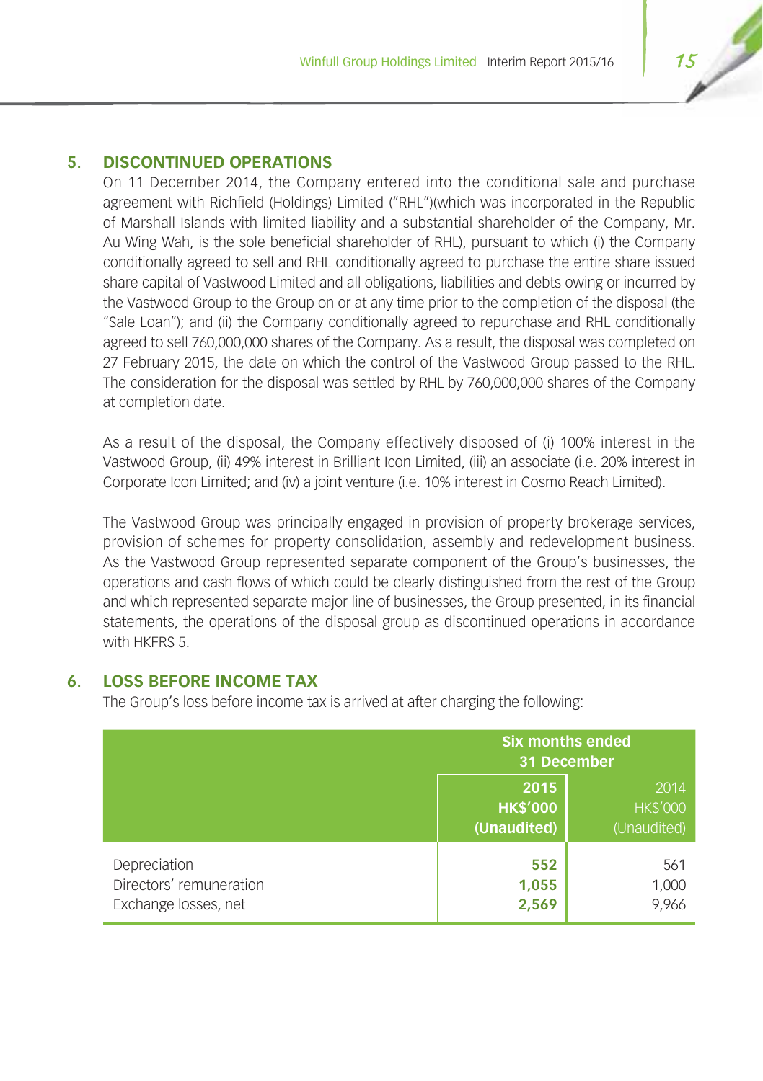## **5. DISCONTINUED OPERATIONS**

On 11 December 2014, the Company entered into the conditional sale and purchase agreement with Richfield (Holdings) Limited ("RHL")(which was incorporated in the Republic of Marshall Islands with limited liability and a substantial shareholder of the Company, Mr. Au Wing Wah, is the sole beneficial shareholder of RHL), pursuant to which (i) the Company conditionally agreed to sell and RHL conditionally agreed to purchase the entire share issued share capital of Vastwood Limited and all obligations, liabilities and debts owing or incurred by the Vastwood Group to the Group on or at any time prior to the completion of the disposal (the "Sale Loan"); and (ii) the Company conditionally agreed to repurchase and RHL conditionally agreed to sell 760,000,000 shares of the Company. As a result, the disposal was completed on 27 February 2015, the date on which the control of the Vastwood Group passed to the RHL. The consideration for the disposal was settled by RHL by 760,000,000 shares of the Company at completion date.

As a result of the disposal, the Company effectively disposed of (i) 100% interest in the Vastwood Group, (ii) 49% interest in Brilliant Icon Limited, (iii) an associate (i.e. 20% interest in Corporate Icon Limited; and (iv) a joint venture (i.e. 10% interest in Cosmo Reach Limited).

The Vastwood Group was principally engaged in provision of property brokerage services, provision of schemes for property consolidation, assembly and redevelopment business. As the Vastwood Group represented separate component of the Group's businesses, the operations and cash flows of which could be clearly distinguished from the rest of the Group and which represented separate major line of businesses, the Group presented, in its financial statements, the operations of the disposal group as discontinued operations in accordance with HKFRS 5

## **6. LOSS BEFORE INCOME TAX**

The Group's loss before income tax is arrived at after charging the following:

|                                                                 | <b>Six months ended</b><br>31 December |                                        |
|-----------------------------------------------------------------|----------------------------------------|----------------------------------------|
|                                                                 | 2015<br><b>HK\$'000</b><br>(Unaudited) | 2014<br><b>HK\$'000</b><br>(Unaudited) |
| Depreciation<br>Directors' remuneration<br>Exchange losses, net | 552<br>1,055<br>2,569                  | 561<br>1,000<br>9,966                  |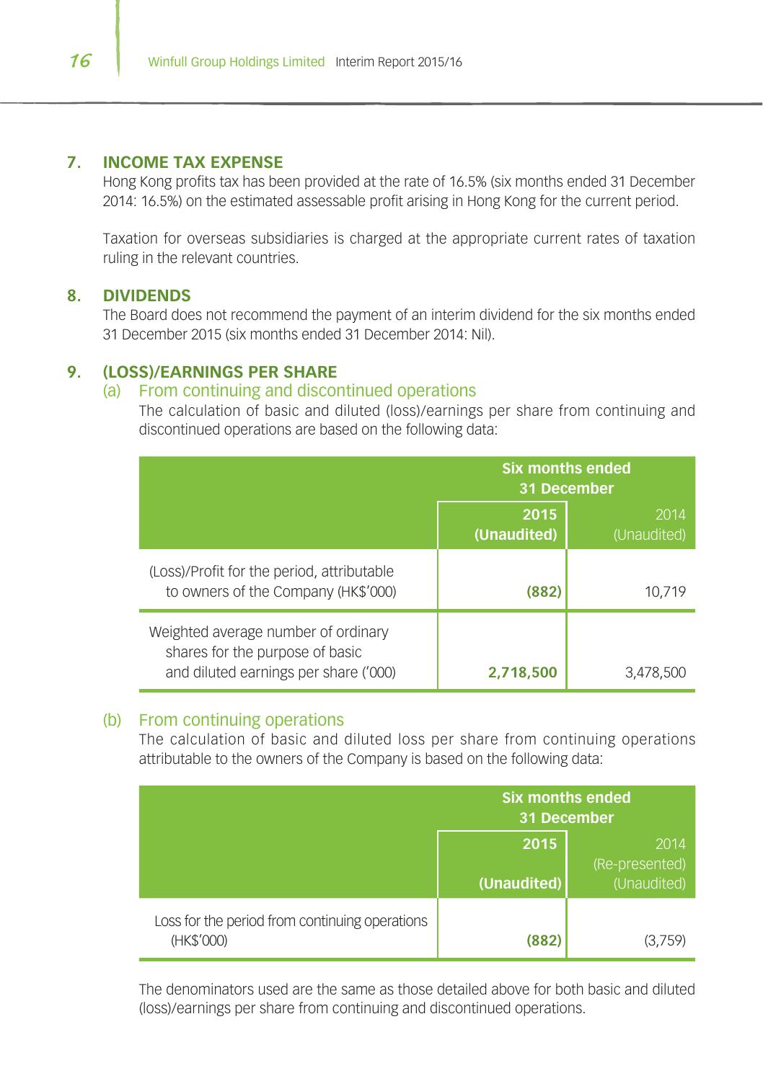#### **7. INCOME TAX EXPENSE**

Hong Kong profits tax has been provided at the rate of 16.5% (six months ended 31 December 2014: 16.5%) on the estimated assessable profit arising in Hong Kong for the current period.

Taxation for overseas subsidiaries is charged at the appropriate current rates of taxation ruling in the relevant countries.

### **8. DIVIDENDS**

The Board does not recommend the payment of an interim dividend for the six months ended 31 December 2015 (six months ended 31 December 2014: Nil).

## **9. (LOSS)/EARNINGS PER SHARE**

## (a) From continuing and discontinued operations

The calculation of basic and diluted (loss)/earnings per share from continuing and discontinued operations are based on the following data:

|                                                                                                                 | <b>Six months ended</b><br>31 December |                     |
|-----------------------------------------------------------------------------------------------------------------|----------------------------------------|---------------------|
|                                                                                                                 | 2015<br>(Unaudited)                    | 2014<br>(Unaudited) |
| (Loss)/Profit for the period, attributable<br>to owners of the Company (HK\$'000)                               | (882)                                  | 10.719              |
| Weighted average number of ordinary<br>shares for the purpose of basic<br>and diluted earnings per share ('000) | 2.718.500                              | 3,478,500           |

#### (b) From continuing operations

The calculation of basic and diluted loss per share from continuing operations attributable to the owners of the Company is based on the following data:

|                                                              | <b>Six months ended</b><br>31 December |                               |
|--------------------------------------------------------------|----------------------------------------|-------------------------------|
|                                                              | 2015                                   | 2014                          |
|                                                              | (Unaudited)                            | (Re-presented)<br>(Unaudited) |
| Loss for the period from continuing operations<br>(HK\$'000) | (882                                   | (3.759)                       |

The denominators used are the same as those detailed above for both basic and diluted (loss)/earnings per share from continuing and discontinued operations.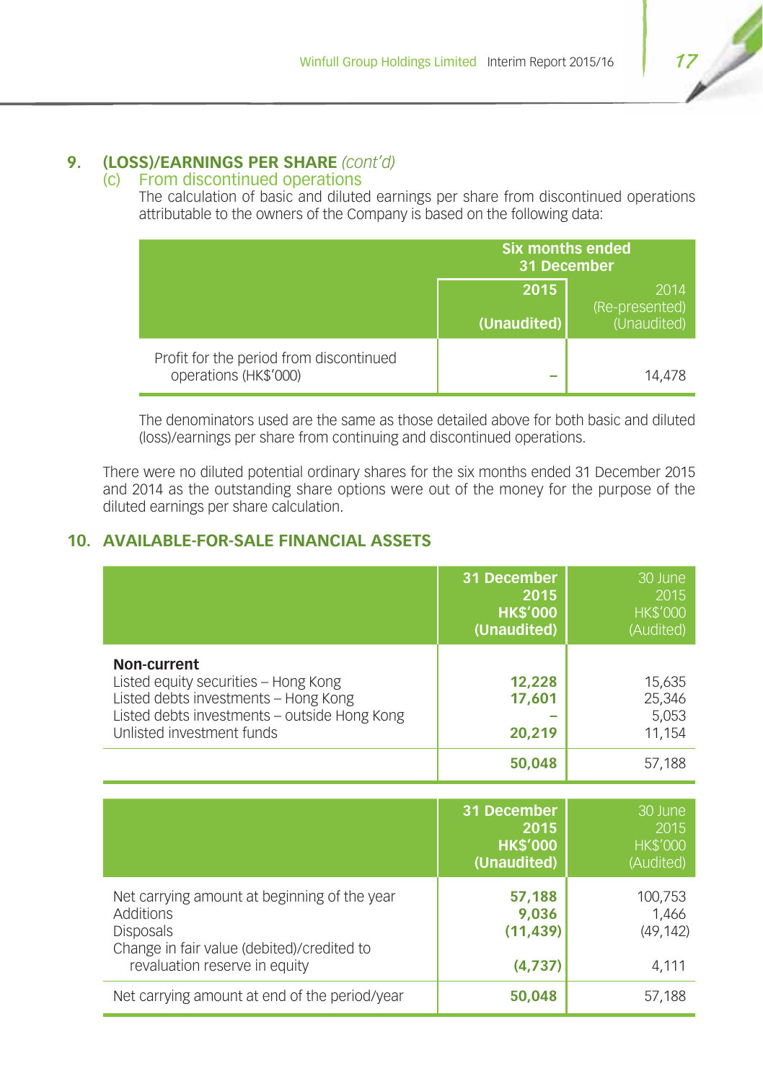## **9. (LOSS)/EARNINGS PER SHARE** *(cont'd)*

## (c) From discontinued operations

The calculation of basic and diluted earnings per share from discontinued operations attributable to the owners of the Company is based on the following data:

|                                                                  | <b>Six months ended</b><br>31 December |                        |
|------------------------------------------------------------------|----------------------------------------|------------------------|
|                                                                  | 2015                                   | 2014<br>(Re-presented) |
|                                                                  | (Unaudited)                            | (Unaudited)            |
| Profit for the period from discontinued<br>operations (HK\$'000) | =                                      | 14.478                 |

The denominators used are the same as those detailed above for both basic and diluted (loss)/earnings per share from continuing and discontinued operations.

There were no diluted potential ordinary shares for the six months ended 31 December 2015 and 2014 as the outstanding share options were out of the money for the purpose of the diluted earnings per share calculation.

## **10. AVAILABLE-FOR-SALE FINANCIAL ASSETS**

|                                                                                                                                                                          | 31 December<br>2015<br><b>HK\$'000</b><br>(Unaudited) | 30 June<br>2015<br><b>HK\$'000</b><br>(Audited) |
|--------------------------------------------------------------------------------------------------------------------------------------------------------------------------|-------------------------------------------------------|-------------------------------------------------|
| Non-current<br>Listed equity securities - Hong Kong<br>Listed debts investments - Hong Kong<br>Listed debts investments - outside Hong Kong<br>Unlisted investment funds | 12,228<br>17.601<br>20,219                            | 15,635<br>25,346<br>5,053<br>11.154             |
|                                                                                                                                                                          | 50,048                                                | 57.188                                          |

|                                                                                                                                                                     | 31 December<br>2015<br><b>HK\$'000</b><br>(Unaudited) | 30 June<br>2015<br><b>HK\$'000</b><br>(Audited) |
|---------------------------------------------------------------------------------------------------------------------------------------------------------------------|-------------------------------------------------------|-------------------------------------------------|
| Net carrying amount at beginning of the year<br><b>Additions</b><br><b>Disposals</b><br>Change in fair value (debited)/credited to<br>revaluation reserve in equity | 57,188<br>9,036<br>(11, 439)<br>(4,737)               | 100,753<br>1,466<br>(49, 142)<br>4,111          |
| Net carrying amount at end of the period/year                                                                                                                       | 50,048                                                | 57,188                                          |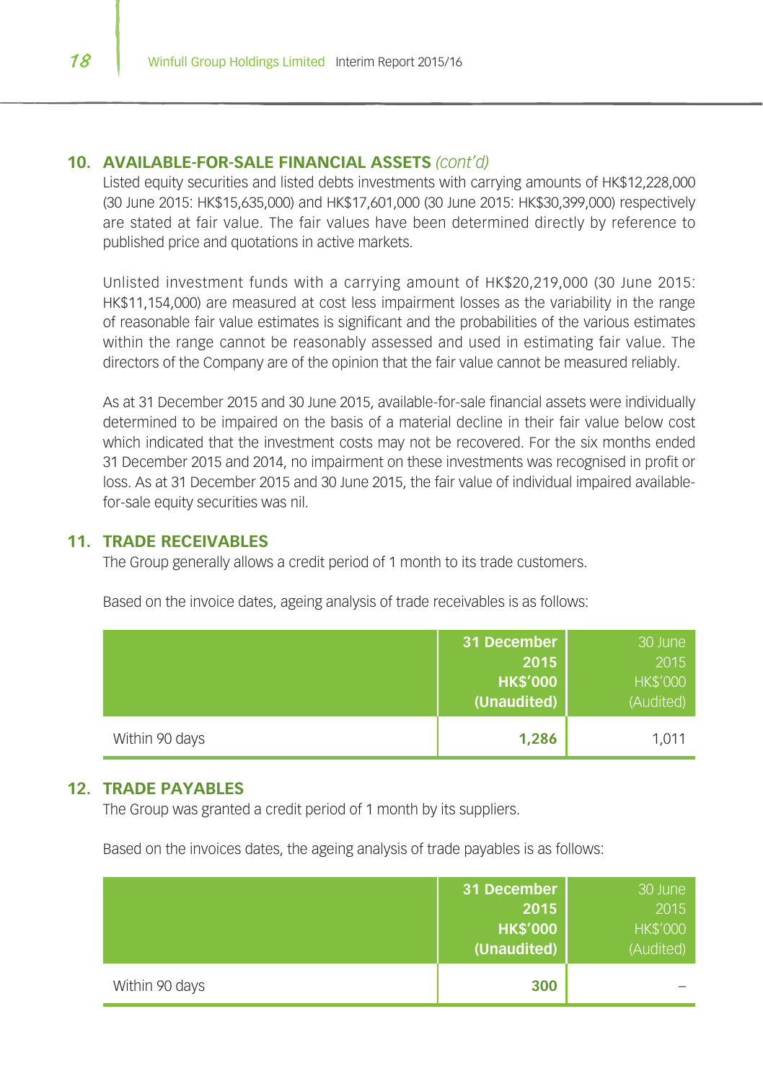## **10. AVAILABLE-FOR-SALE FINANCIAL ASSETS** *(cont'd)*

Listed equity securities and listed debts investments with carrying amounts of HK\$12,228,000 (30 June 2015: HK\$15,635,000) and HK\$17,601,000 (30 June 2015: HK\$30,399,000) respectively are stated at fair value. The fair values have been determined directly by reference to published price and quotations in active markets.

Unlisted investment funds with a carrying amount of HK\$20,219,000 (30 June 2015: HK\$11,154,000) are measured at cost less impairment losses as the variability in the range of reasonable fair value estimates is significant and the probabilities of the various estimates within the range cannot be reasonably assessed and used in estimating fair value. The directors of the Company are of the opinion that the fair value cannot be measured reliably.

As at 31 December 2015 and 30 June 2015, available-for-sale financial assets were individually determined to be impaired on the basis of a material decline in their fair value below cost which indicated that the investment costs may not be recovered. For the six months ended 31 December 2015 and 2014, no impairment on these investments was recognised in profit or loss. As at 31 December 2015 and 30 June 2015, the fair value of individual impaired availablefor-sale equity securities was nil.

#### **11. TRADE RECEIVABLES**

The Group generally allows a credit period of 1 month to its trade customers.

|                | 31 December<br>2015<br><b>HK\$'000</b><br>(Unaudited) | 30 June<br>2015<br><b>HK\$'000</b><br>(Audited) |
|----------------|-------------------------------------------------------|-------------------------------------------------|
| Within 90 days | 1,286                                                 | 1,011                                           |

Based on the invoice dates, ageing analysis of trade receivables is as follows:

#### **12. TRADE PAYABLES**

The Group was granted a credit period of 1 month by its suppliers.

Based on the invoices dates, the ageing analysis of trade payables is as follows:

|                | 31 December<br>2015<br><b>HK\$'000</b><br>(Unaudited) | 30 June<br>2015<br><b>HK\$'000</b><br>(Audited) |
|----------------|-------------------------------------------------------|-------------------------------------------------|
| Within 90 days | 300                                                   |                                                 |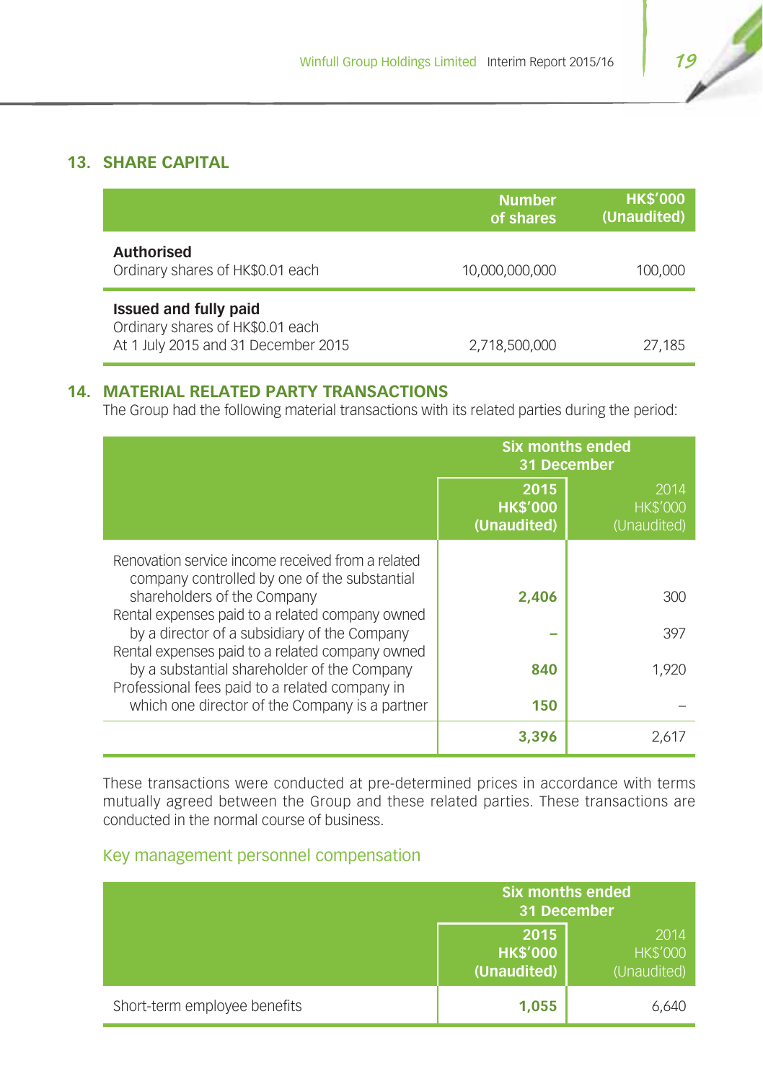## **13. SHARE CAPITAL**

|                                                                                                         | <b>Number</b><br>of shares | <b>HK\$'000</b><br>(Unaudited) |
|---------------------------------------------------------------------------------------------------------|----------------------------|--------------------------------|
| <b>Authorised</b><br>Ordinary shares of HK\$0.01 each                                                   | 10.000.000.000             | 100,000                        |
| <b>Issued and fully paid</b><br>Ordinary shares of HK\$0.01 each<br>At 1 July 2015 and 31 December 2015 | 2,718,500,000              | 27,185                         |

## **14. MATERIAL RELATED PARTY TRANSACTIONS**

The Group had the following material transactions with its related parties during the period:

|                                                                                                                                                  | <b>Six months ended</b><br>31 December |                                        |
|--------------------------------------------------------------------------------------------------------------------------------------------------|----------------------------------------|----------------------------------------|
|                                                                                                                                                  | 2015<br><b>HK\$'000</b><br>(Unaudited) | 2014<br><b>HK\$'000</b><br>(Unaudited) |
| Renovation service income received from a related<br>company controlled by one of the substantial                                                |                                        |                                        |
| shareholders of the Company<br>Rental expenses paid to a related company owned                                                                   | 2.406                                  | 300                                    |
| by a director of a subsidiary of the Company                                                                                                     |                                        | 397                                    |
| Rental expenses paid to a related company owned<br>by a substantial shareholder of the Company<br>Professional fees paid to a related company in | 840                                    | 1.920                                  |
| which one director of the Company is a partner                                                                                                   | 150                                    |                                        |
|                                                                                                                                                  | 3,396                                  | 2,617                                  |

These transactions were conducted at pre-determined prices in accordance with terms mutually agreed between the Group and these related parties. These transactions are conducted in the normal course of business.

## Key management personnel compensation

|                              | <b>Six months ended</b><br>31 December |                                        |
|------------------------------|----------------------------------------|----------------------------------------|
|                              | 2015<br><b>HK\$'000</b><br>(Unaudited) | 2014<br><b>HK\$'000</b><br>(Unaudited) |
| Short-term employee benefits | 1,055                                  | 6,640                                  |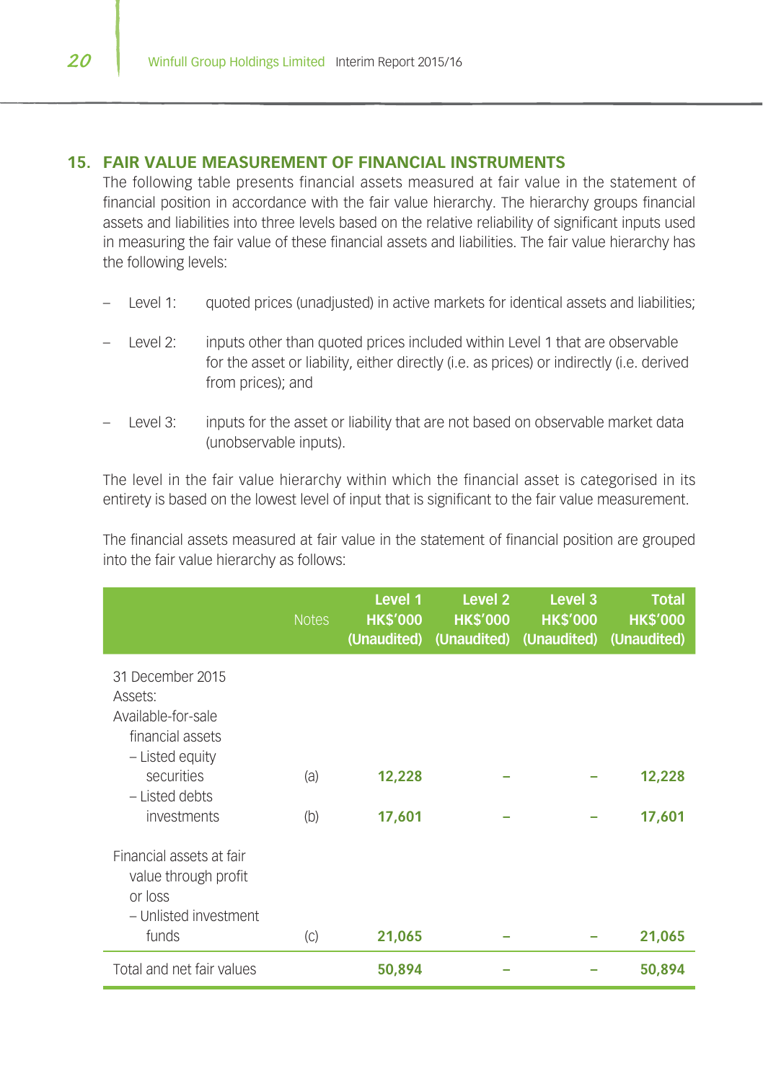## **15. FAIR VALUE MEASUREMENT OF FINANCIAL INSTRUMENTS**

The following table presents financial assets measured at fair value in the statement of financial position in accordance with the fair value hierarchy. The hierarchy groups financial assets and liabilities into three levels based on the relative reliability of significant inputs used in measuring the fair value of these financial assets and liabilities. The fair value hierarchy has the following levels:

- Level 1: quoted prices (unadjusted) in active markets for identical assets and liabilities;
- Level 2: inputs other than quoted prices included within Level 1 that are observable for the asset or liability, either directly (i.e. as prices) or indirectly (i.e. derived from prices); and
- Level 3: inputs for the asset or liability that are not based on observable market data (unobservable inputs).

The level in the fair value hierarchy within which the financial asset is categorised in its entirety is based on the lowest level of input that is significant to the fair value measurement.

The financial assets measured at fair value in the statement of financial position are grouped into the fair value hierarchy as follows:

|                                                                                                                          | <b>Notes</b> | Level 1<br><b>HK\$'000</b><br>(Unaudited) | Level <sub>2</sub><br><b>HK\$'000</b><br>(Unaudited) | Level <sub>3</sub><br><b>HK\$'000</b><br>(Unaudited) | <b>Total</b><br><b>HK\$'000</b><br>(Unaudited) |
|--------------------------------------------------------------------------------------------------------------------------|--------------|-------------------------------------------|------------------------------------------------------|------------------------------------------------------|------------------------------------------------|
| 31 December 2015<br>Assets:<br>Available-for-sale<br>financial assets<br>- Listed equity<br>securities<br>- Listed debts | (a)          | 12,228                                    |                                                      |                                                      | 12,228                                         |
| investments                                                                                                              | (b)          | 17,601                                    |                                                      |                                                      | 17,601                                         |
| Financial assets at fair<br>value through profit<br>or loss<br>- Unlisted investment<br>funds                            | (C)          | 21,065                                    |                                                      |                                                      | 21,065                                         |
| Total and net fair values                                                                                                |              | 50,894                                    |                                                      |                                                      | 50,894                                         |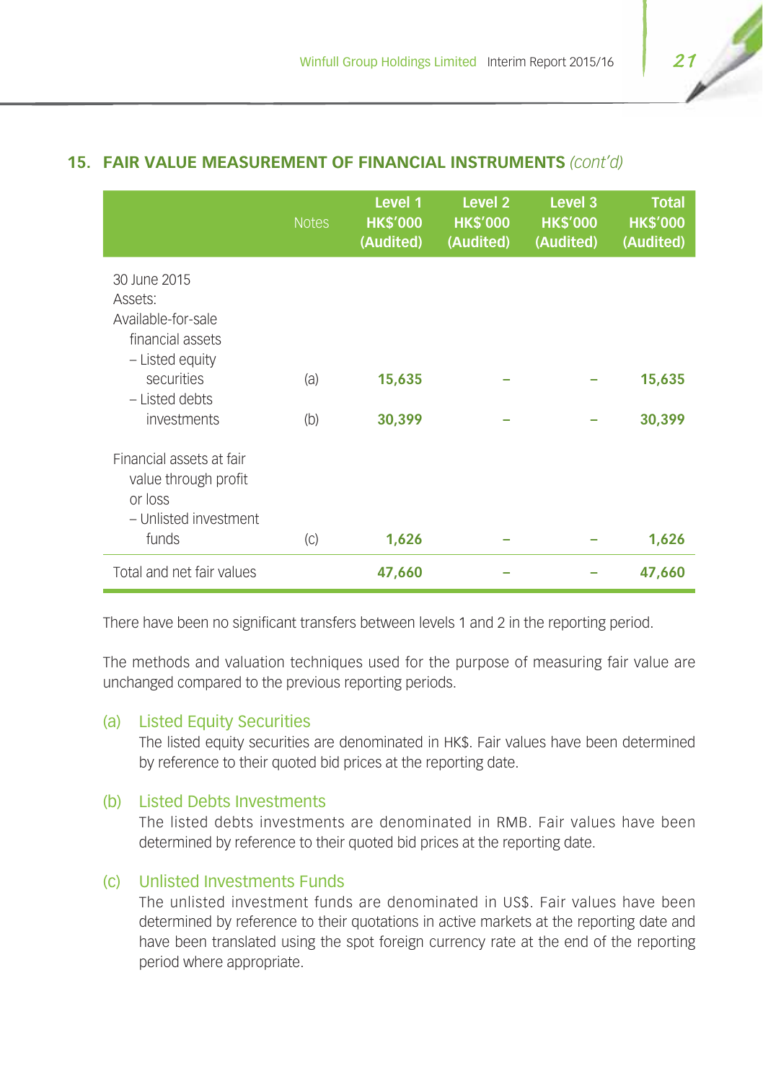## **15. FAIR VALUE MEASUREMENT OF FINANCIAL INSTRUMENTS** *(cont'd)*

|                                                                                                    | <b>Notes</b> | Level 1<br><b>HK\$'000</b><br>(Audited) | Level <sub>2</sub><br><b>HK\$'000</b><br>(Audited) | Level 3<br><b>HK\$'000</b><br>(Audited) | <b>Total</b><br><b>HK\$'000</b><br>(Audited) |
|----------------------------------------------------------------------------------------------------|--------------|-----------------------------------------|----------------------------------------------------|-----------------------------------------|----------------------------------------------|
| 30 June 2015<br>Assets:<br>Available-for-sale<br>financial assets<br>- Listed equity<br>securities | (a)          | 15,635                                  |                                                    |                                         | 15,635                                       |
| - Listed debts<br>investments                                                                      | (b)          | 30,399                                  |                                                    |                                         | 30,399                                       |
| Financial assets at fair<br>value through profit<br>or loss<br>- Unlisted investment<br>funds      | (C)          | 1,626                                   |                                                    |                                         | 1,626                                        |
| Total and net fair values                                                                          |              | 47,660                                  |                                                    |                                         | 47,660                                       |

There have been no significant transfers between levels 1 and 2 in the reporting period.

The methods and valuation techniques used for the purpose of measuring fair value are unchanged compared to the previous reporting periods.

#### (a) Listed Equity Securities

The listed equity securities are denominated in HK\$. Fair values have been determined by reference to their quoted bid prices at the reporting date.

### (b) Listed Debts Investments

The listed debts investments are denominated in RMB. Fair values have been determined by reference to their quoted bid prices at the reporting date.

## (c) Unlisted Investments Funds

The unlisted investment funds are denominated in US\$. Fair values have been determined by reference to their quotations in active markets at the reporting date and have been translated using the spot foreign currency rate at the end of the reporting period where appropriate.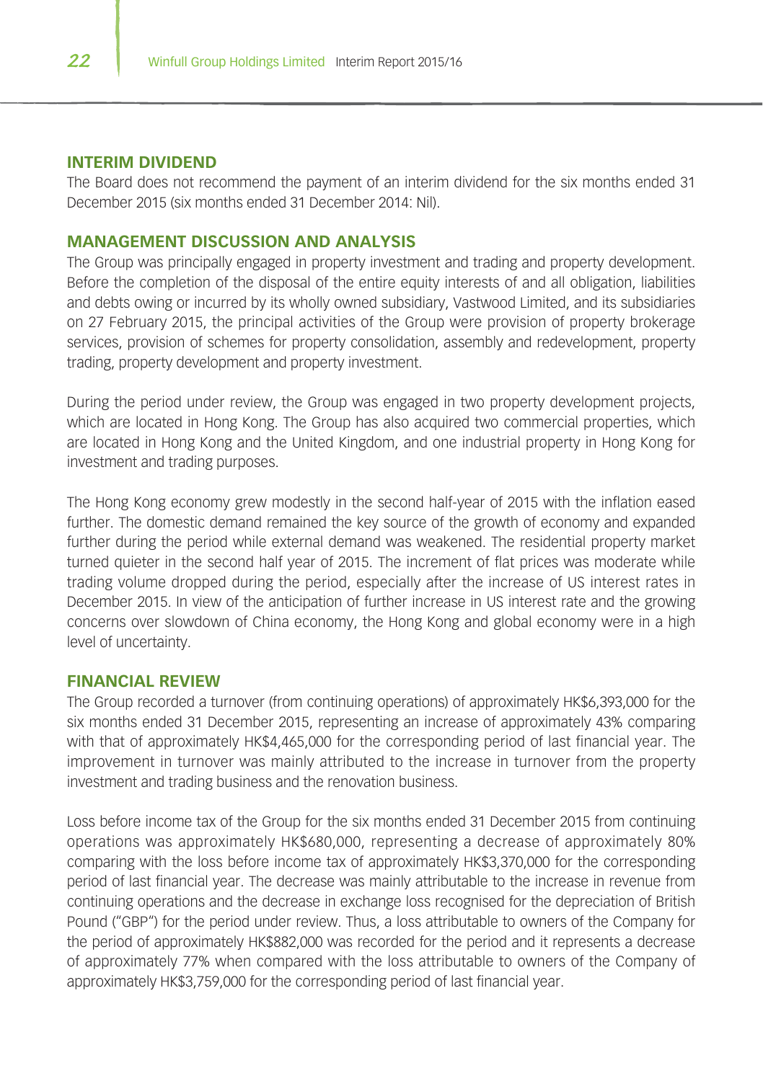#### **INTERIM DIVIDEND**

The Board does not recommend the payment of an interim dividend for the six months ended 31 December 2015 (six months ended 31 December 2014: Nil).

### **MANAGEMENT DISCUSSION AND ANALYSIS**

The Group was principally engaged in property investment and trading and property development. Before the completion of the disposal of the entire equity interests of and all obligation, liabilities and debts owing or incurred by its wholly owned subsidiary, Vastwood Limited, and its subsidiaries on 27 February 2015, the principal activities of the Group were provision of property brokerage services, provision of schemes for property consolidation, assembly and redevelopment, property trading, property development and property investment.

During the period under review, the Group was engaged in two property development projects, which are located in Hong Kong. The Group has also acquired two commercial properties, which are located in Hong Kong and the United Kingdom, and one industrial property in Hong Kong for investment and trading purposes.

The Hong Kong economy grew modestly in the second half-year of 2015 with the inflation eased further. The domestic demand remained the key source of the growth of economy and expanded further during the period while external demand was weakened. The residential property market turned quieter in the second half year of 2015. The increment of flat prices was moderate while trading volume dropped during the period, especially after the increase of US interest rates in December 2015. In view of the anticipation of further increase in US interest rate and the growing concerns over slowdown of China economy, the Hong Kong and global economy were in a high level of uncertainty.

#### **FINANCIAL REVIEW**

The Group recorded a turnover (from continuing operations) of approximately HK\$6,393,000 for the six months ended 31 December 2015, representing an increase of approximately 43% comparing with that of approximately HK\$4,465,000 for the corresponding period of last financial year. The improvement in turnover was mainly attributed to the increase in turnover from the property investment and trading business and the renovation business.

Loss before income tax of the Group for the six months ended 31 December 2015 from continuing operations was approximately HK\$680,000, representing a decrease of approximately 80% comparing with the loss before income tax of approximately HK\$3,370,000 for the corresponding period of last financial year. The decrease was mainly attributable to the increase in revenue from continuing operations and the decrease in exchange loss recognised for the depreciation of British Pound ("GBP") for the period under review. Thus, a loss attributable to owners of the Company for the period of approximately HK\$882,000 was recorded for the period and it represents a decrease of approximately 77% when compared with the loss attributable to owners of the Company of approximately HK\$3,759,000 for the corresponding period of last financial year.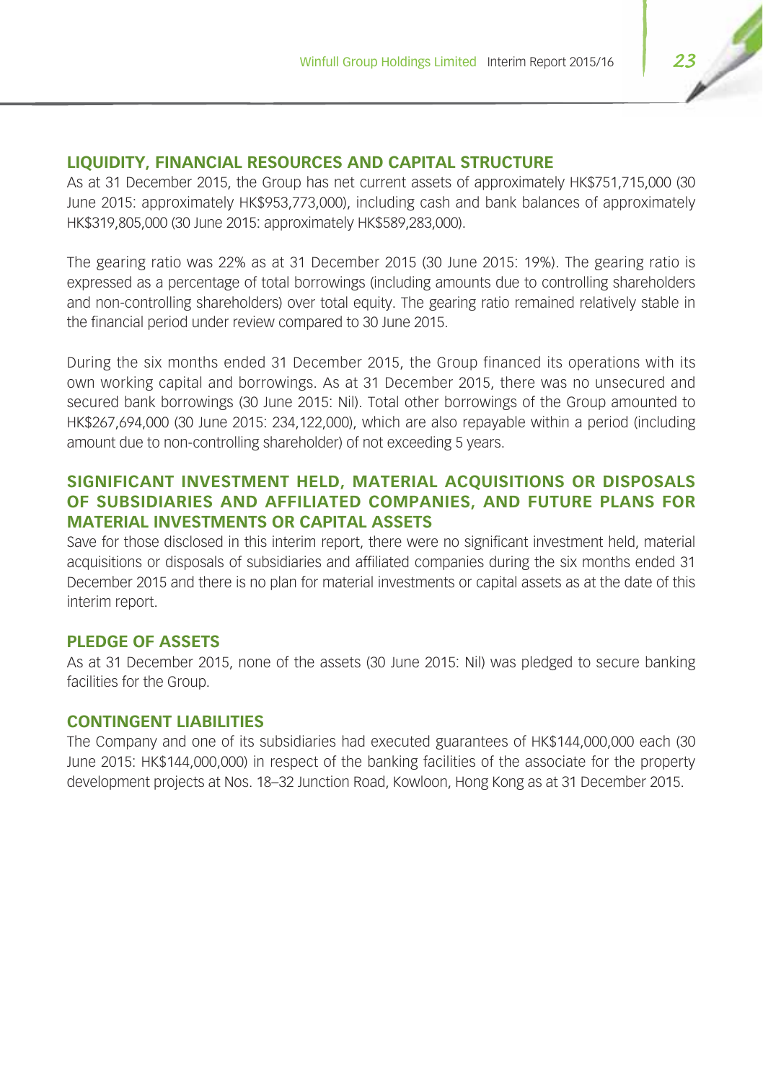## **LIQUIDITY, FINANCIAL RESOURCES AND CAPITAL STRUCTURE**

As at 31 December 2015, the Group has net current assets of approximately HK\$751,715,000 (30 June 2015: approximately HK\$953,773,000), including cash and bank balances of approximately HK\$319,805,000 (30 June 2015: approximately HK\$589,283,000).

The gearing ratio was 22% as at 31 December 2015 (30 June 2015: 19%). The gearing ratio is expressed as a percentage of total borrowings (including amounts due to controlling shareholders and non-controlling shareholders) over total equity. The gearing ratio remained relatively stable in the financial period under review compared to 30 June 2015.

During the six months ended 31 December 2015, the Group financed its operations with its own working capital and borrowings. As at 31 December 2015, there was no unsecured and secured bank borrowings (30 June 2015: Nil). Total other borrowings of the Group amounted to HK\$267,694,000 (30 June 2015: 234,122,000), which are also repayable within a period (including amount due to non-controlling shareholder) of not exceeding 5 years.

## **SIGNIFICANT INVESTMENT HELD, MATERIAL ACQUISITIONS OR DISPOSALS OF SUBSIDIARIES AND AFFILIATED COMPANIES, AND FUTURE PLANS FOR MATERIAL INVESTMENTS OR CAPITAL ASSETS**

Save for those disclosed in this interim report, there were no significant investment held, material acquisitions or disposals of subsidiaries and affiliated companies during the six months ended 31 December 2015 and there is no plan for material investments or capital assets as at the date of this interim report.

#### **PLEDGE OF ASSETS**

As at 31 December 2015, none of the assets (30 June 2015: Nil) was pledged to secure banking facilities for the Group.

#### **CONTINGENT LIABILITIES**

The Company and one of its subsidiaries had executed guarantees of HK\$144,000,000 each (30 June 2015: HK\$144,000,000) in respect of the banking facilities of the associate for the property development projects at Nos. 18–32 Junction Road, Kowloon, Hong Kong as at 31 December 2015.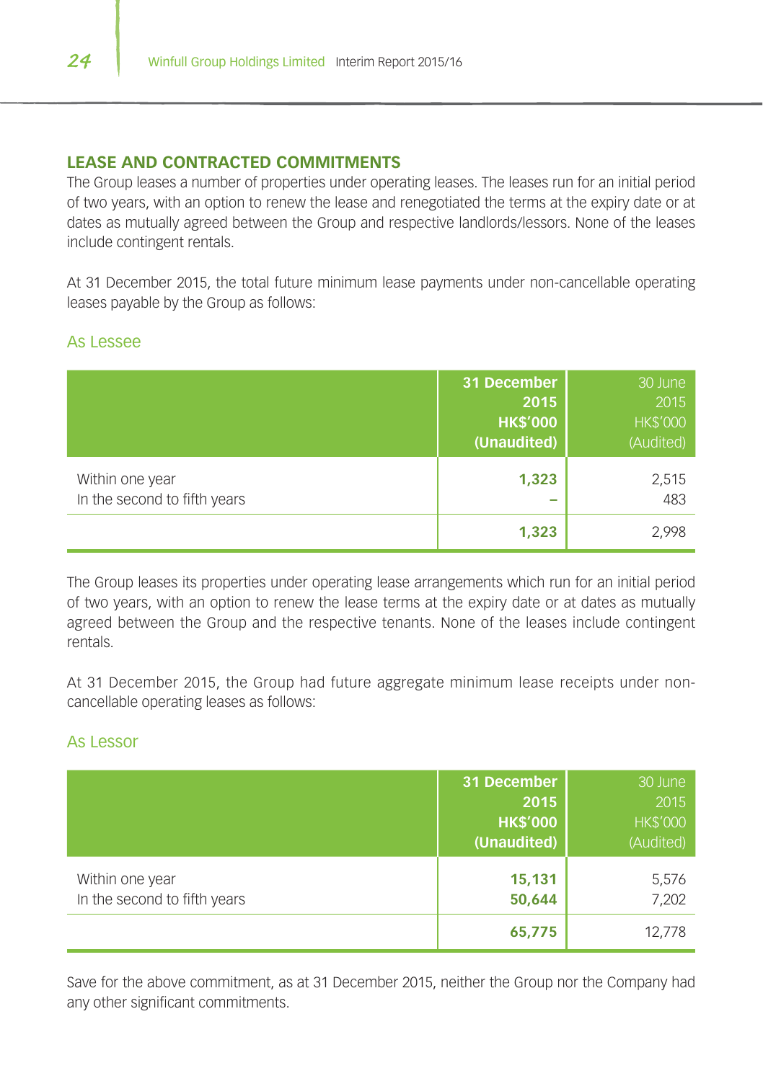## **LEASE AND CONTRACTED COMMITMENTS**

The Group leases a number of properties under operating leases. The leases run for an initial period of two years, with an option to renew the lease and renegotiated the terms at the expiry date or at dates as mutually agreed between the Group and respective landlords/lessors. None of the leases include contingent rentals.

At 31 December 2015, the total future minimum lease payments under non-cancellable operating leases payable by the Group as follows:

## As Lessee

|                                                 | 31 December<br>2015<br><b>HK\$'000</b><br>(Unaudited) | 30 June<br>2015<br><b>HK\$'000</b><br>(Audited) |
|-------------------------------------------------|-------------------------------------------------------|-------------------------------------------------|
| Within one year<br>In the second to fifth years | 1,323                                                 | 2,515<br>483                                    |
|                                                 | 1,323                                                 | 2,998                                           |

The Group leases its properties under operating lease arrangements which run for an initial period of two years, with an option to renew the lease terms at the expiry date or at dates as mutually agreed between the Group and the respective tenants. None of the leases include contingent rentals.

At 31 December 2015, the Group had future aggregate minimum lease receipts under noncancellable operating leases as follows:

## As Lessor

|                                                 | 31 December<br>2015<br><b>HK\$'000</b><br>(Unaudited) | 30 June<br>2015<br><b>HK\$'000</b><br>(Audited) |
|-------------------------------------------------|-------------------------------------------------------|-------------------------------------------------|
| Within one year<br>In the second to fifth years | 15,131<br>50,644                                      | 5,576<br>7,202                                  |
|                                                 | 65,775                                                | 12,778                                          |

Save for the above commitment, as at 31 December 2015, neither the Group nor the Company had any other significant commitments.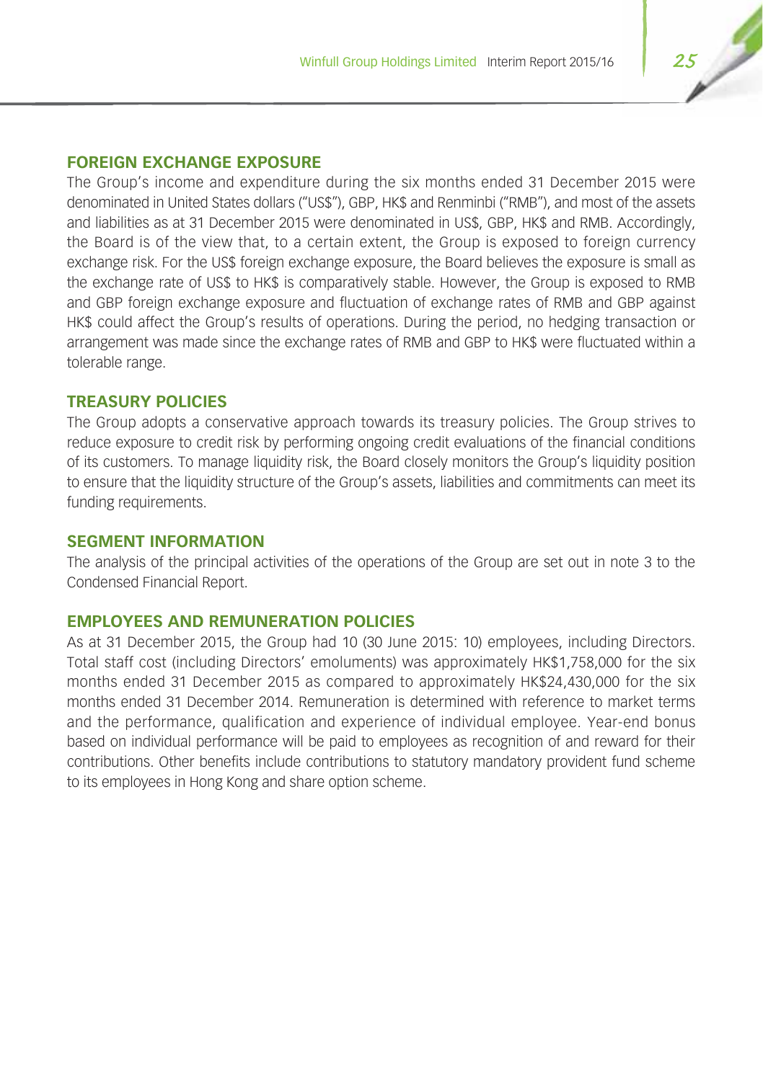## **FOREIGN EXCHANGE EXPOSURE**

The Group's income and expenditure during the six months ended 31 December 2015 were denominated in United States dollars ("US\$"), GBP, HK\$ and Renminbi ("RMB"), and most of the assets and liabilities as at 31 December 2015 were denominated in US\$, GBP, HK\$ and RMB. Accordingly, the Board is of the view that, to a certain extent, the Group is exposed to foreign currency exchange risk. For the US\$ foreign exchange exposure, the Board believes the exposure is small as the exchange rate of US\$ to HK\$ is comparatively stable. However, the Group is exposed to RMB and GBP foreign exchange exposure and fluctuation of exchange rates of RMB and GBP against HK\$ could affect the Group's results of operations. During the period, no hedging transaction or arrangement was made since the exchange rates of RMB and GBP to HK\$ were fluctuated within a tolerable range.

## **TREASURY POLICIES**

The Group adopts a conservative approach towards its treasury policies. The Group strives to reduce exposure to credit risk by performing ongoing credit evaluations of the financial conditions of its customers. To manage liquidity risk, the Board closely monitors the Group's liquidity position to ensure that the liquidity structure of the Group's assets, liabilities and commitments can meet its funding requirements.

#### **SEGMENT INFORMATION**

The analysis of the principal activities of the operations of the Group are set out in note 3 to the Condensed Financial Report.

## **EMPLOYEES AND REMUNERATION POLICIES**

As at 31 December 2015, the Group had 10 (30 June 2015: 10) employees, including Directors. Total staff cost (including Directors' emoluments) was approximately HK\$1,758,000 for the six months ended 31 December 2015 as compared to approximately HK\$24,430,000 for the six months ended 31 December 2014. Remuneration is determined with reference to market terms and the performance, qualification and experience of individual employee. Year-end bonus based on individual performance will be paid to employees as recognition of and reward for their contributions. Other benefits include contributions to statutory mandatory provident fund scheme to its employees in Hong Kong and share option scheme.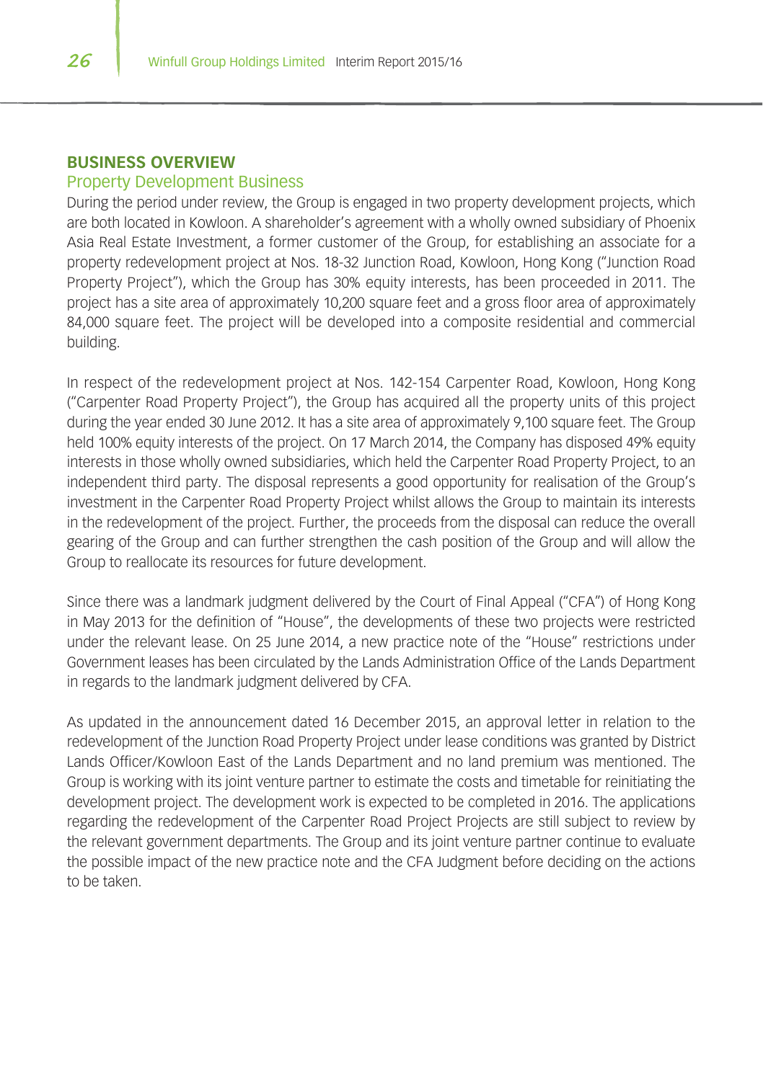#### **BUSINESS OVERVIEW**

#### Property Development Business

During the period under review, the Group is engaged in two property development projects, which are both located in Kowloon. A shareholder's agreement with a wholly owned subsidiary of Phoenix Asia Real Estate Investment, a former customer of the Group, for establishing an associate for a property redevelopment project at Nos. 18-32 Junction Road, Kowloon, Hong Kong ("Junction Road Property Project"), which the Group has 30% equity interests, has been proceeded in 2011. The project has a site area of approximately 10,200 square feet and a gross floor area of approximately 84,000 square feet. The project will be developed into a composite residential and commercial building.

In respect of the redevelopment project at Nos. 142-154 Carpenter Road, Kowloon, Hong Kong ("Carpenter Road Property Project"), the Group has acquired all the property units of this project during the year ended 30 June 2012. It has a site area of approximately 9,100 square feet. The Group held 100% equity interests of the project. On 17 March 2014, the Company has disposed 49% equity interests in those wholly owned subsidiaries, which held the Carpenter Road Property Project, to an independent third party. The disposal represents a good opportunity for realisation of the Group's investment in the Carpenter Road Property Project whilst allows the Group to maintain its interests in the redevelopment of the project. Further, the proceeds from the disposal can reduce the overall gearing of the Group and can further strengthen the cash position of the Group and will allow the Group to reallocate its resources for future development.

Since there was a landmark judgment delivered by the Court of Final Appeal ("CFA") of Hong Kong in May 2013 for the definition of "House", the developments of these two projects were restricted under the relevant lease. On 25 June 2014, a new practice note of the "House" restrictions under Government leases has been circulated by the Lands Administration Office of the Lands Department in regards to the landmark judgment delivered by CFA.

As updated in the announcement dated 16 December 2015, an approval letter in relation to the redevelopment of the Junction Road Property Project under lease conditions was granted by District Lands Officer/Kowloon East of the Lands Department and no land premium was mentioned. The Group is working with its joint venture partner to estimate the costs and timetable for reinitiating the development project. The development work is expected to be completed in 2016. The applications regarding the redevelopment of the Carpenter Road Project Projects are still subject to review by the relevant government departments. The Group and its joint venture partner continue to evaluate the possible impact of the new practice note and the CFA Judgment before deciding on the actions to be taken.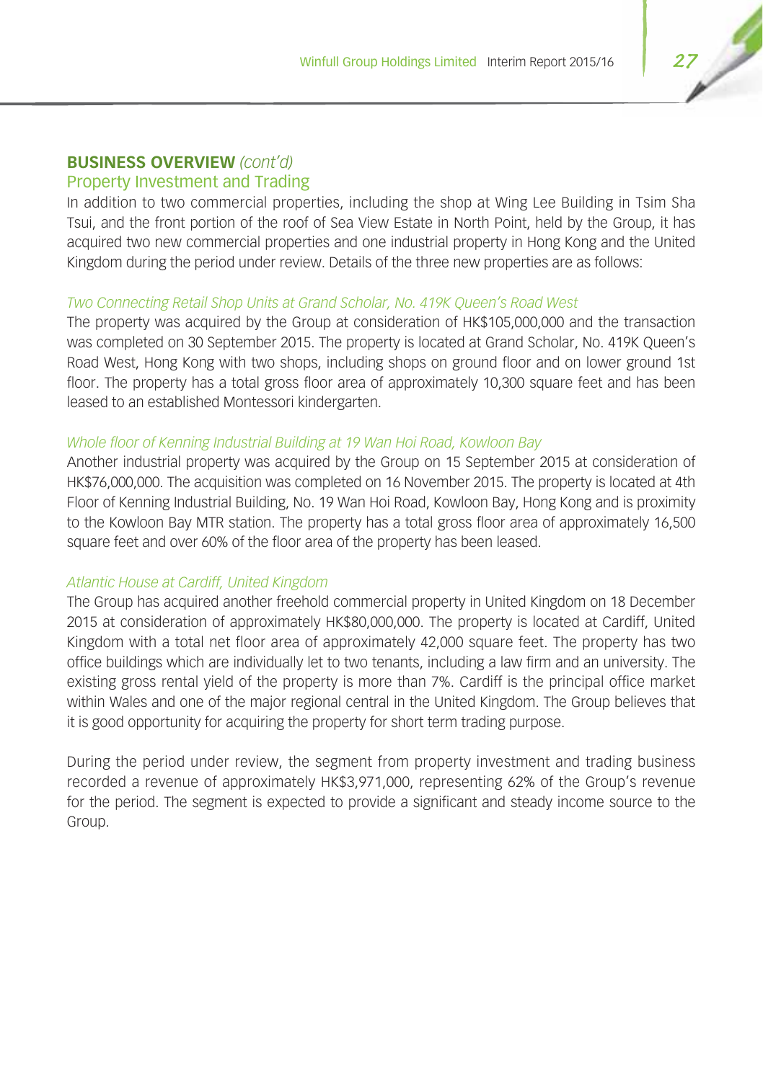## Property Investment and Trading

In addition to two commercial properties, including the shop at Wing Lee Building in Tsim Sha Tsui, and the front portion of the roof of Sea View Estate in North Point, held by the Group, it has acquired two new commercial properties and one industrial property in Hong Kong and the United Kingdom during the period under review. Details of the three new properties are as follows:

#### *Two Connecting Retail Shop Units at Grand Scholar, No. 419K Queen's Road West*

The property was acquired by the Group at consideration of HK\$105,000,000 and the transaction was completed on 30 September 2015. The property is located at Grand Scholar, No. 419K Queen's Road West, Hong Kong with two shops, including shops on ground floor and on lower ground 1st floor. The property has a total gross floor area of approximately 10,300 square feet and has been leased to an established Montessori kindergarten.

#### *Whole floor of Kenning Industrial Building at 19 Wan Hoi Road, Kowloon Bay*

Another industrial property was acquired by the Group on 15 September 2015 at consideration of HK\$76,000,000. The acquisition was completed on 16 November 2015. The property is located at 4th Floor of Kenning Industrial Building, No. 19 Wan Hoi Road, Kowloon Bay, Hong Kong and is proximity to the Kowloon Bay MTR station. The property has a total gross floor area of approximately 16,500 square feet and over 60% of the floor area of the property has been leased.

#### *Atlantic House at Cardiff, United Kingdom*

The Group has acquired another freehold commercial property in United Kingdom on 18 December 2015 at consideration of approximately HK\$80,000,000. The property is located at Cardiff, United Kingdom with a total net floor area of approximately 42,000 square feet. The property has two office buildings which are individually let to two tenants, including a law firm and an university. The existing gross rental yield of the property is more than 7%. Cardiff is the principal office market within Wales and one of the major regional central in the United Kingdom. The Group believes that it is good opportunity for acquiring the property for short term trading purpose.

During the period under review, the segment from property investment and trading business recorded a revenue of approximately HK\$3,971,000, representing 62% of the Group's revenue for the period. The segment is expected to provide a significant and steady income source to the Group.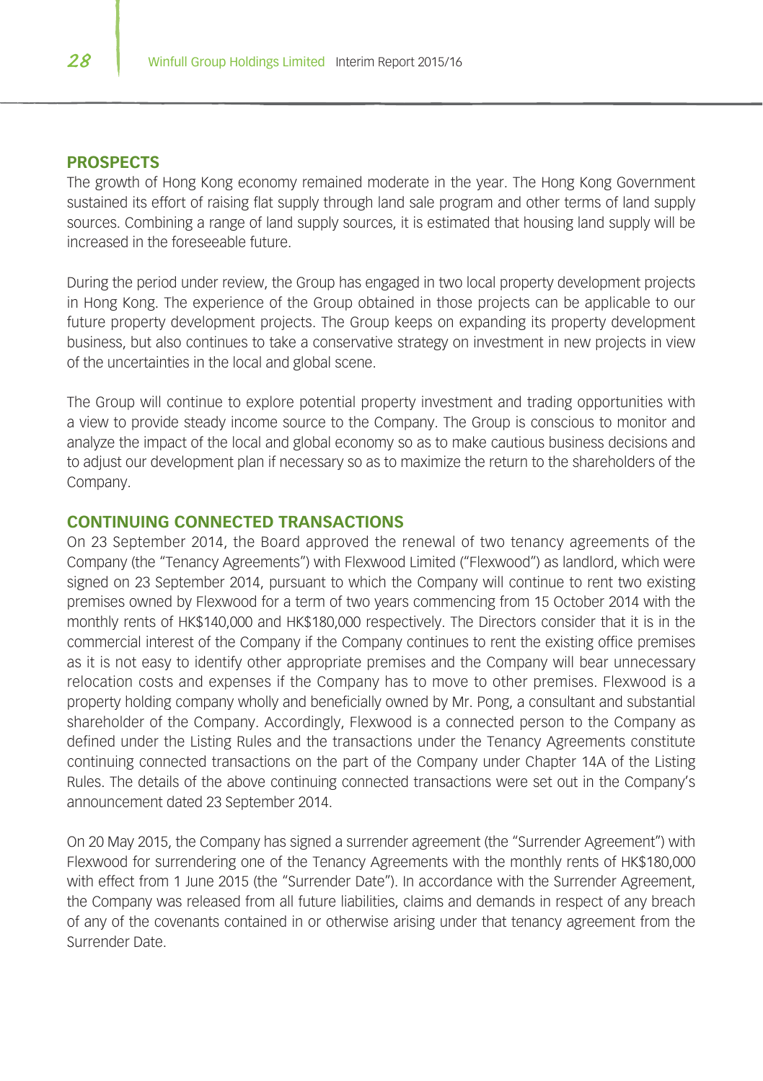#### **PROSPECTS**

The growth of Hong Kong economy remained moderate in the year. The Hong Kong Government sustained its effort of raising flat supply through land sale program and other terms of land supply sources. Combining a range of land supply sources, it is estimated that housing land supply will be increased in the foreseeable future.

During the period under review, the Group has engaged in two local property development projects in Hong Kong. The experience of the Group obtained in those projects can be applicable to our future property development projects. The Group keeps on expanding its property development business, but also continues to take a conservative strategy on investment in new projects in view of the uncertainties in the local and global scene.

The Group will continue to explore potential property investment and trading opportunities with a view to provide steady income source to the Company. The Group is conscious to monitor and analyze the impact of the local and global economy so as to make cautious business decisions and to adjust our development plan if necessary so as to maximize the return to the shareholders of the Company.

## **CONTINUING CONNECTED TRANSACTIONS**

On 23 September 2014, the Board approved the renewal of two tenancy agreements of the Company (the "Tenancy Agreements") with Flexwood Limited ("Flexwood") as landlord, which were signed on 23 September 2014, pursuant to which the Company will continue to rent two existing premises owned by Flexwood for a term of two years commencing from 15 October 2014 with the monthly rents of HK\$140,000 and HK\$180,000 respectively. The Directors consider that it is in the commercial interest of the Company if the Company continues to rent the existing office premises as it is not easy to identify other appropriate premises and the Company will bear unnecessary relocation costs and expenses if the Company has to move to other premises. Flexwood is a property holding company wholly and beneficially owned by Mr. Pong, a consultant and substantial shareholder of the Company. Accordingly, Flexwood is a connected person to the Company as defined under the Listing Rules and the transactions under the Tenancy Agreements constitute continuing connected transactions on the part of the Company under Chapter 14A of the Listing Rules. The details of the above continuing connected transactions were set out in the Company's announcement dated 23 September 2014.

On 20 May 2015, the Company has signed a surrender agreement (the "Surrender Agreement") with Flexwood for surrendering one of the Tenancy Agreements with the monthly rents of HK\$180,000 with effect from 1 June 2015 (the "Surrender Date"). In accordance with the Surrender Agreement, the Company was released from all future liabilities, claims and demands in respect of any breach of any of the covenants contained in or otherwise arising under that tenancy agreement from the Surrender Date.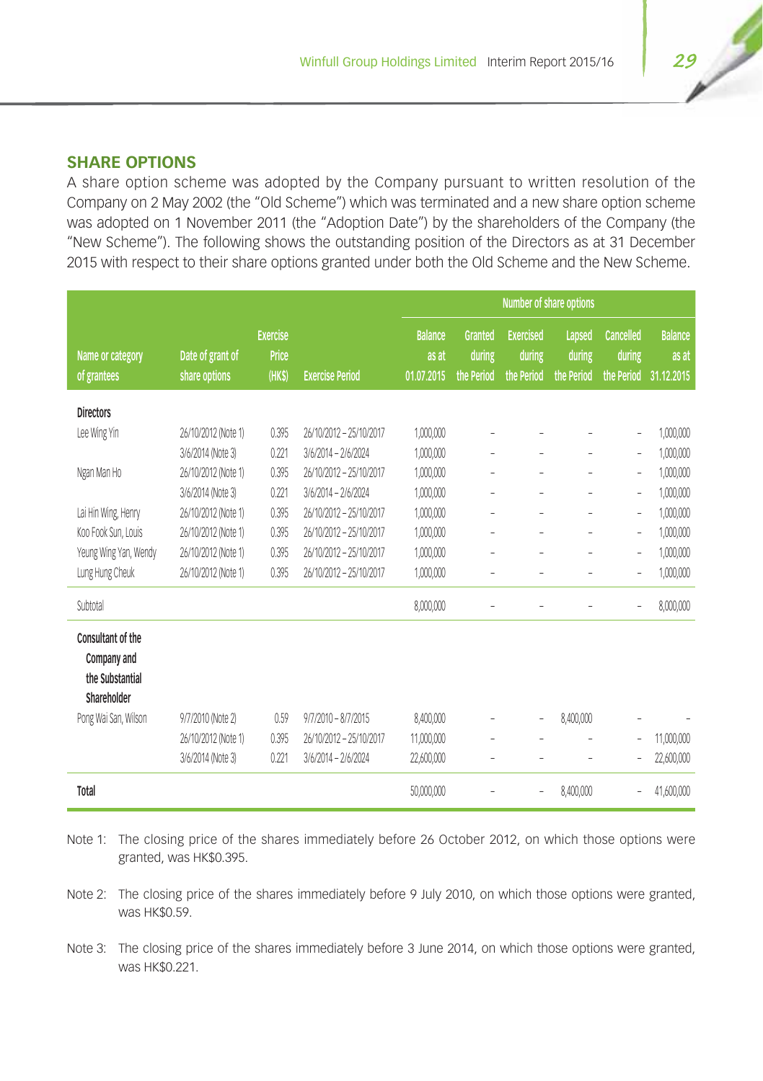## **SHARE OPTIONS**

A share option scheme was adopted by the Company pursuant to written resolution of the Company on 2 May 2002 (the "Old Scheme") which was terminated and a new share option scheme was adopted on 1 November 2011 (the "Adoption Date") by the shareholders of the Company (the "New Scheme"). The following shows the outstanding position of the Directors as at 31 December 2015 with respect to their share options granted under both the Old Scheme and the New Scheme.

|                                                                                            |                                   |                                    |                         | Number of share options               |                                 |                                          |                                |                                          |                                       |
|--------------------------------------------------------------------------------------------|-----------------------------------|------------------------------------|-------------------------|---------------------------------------|---------------------------------|------------------------------------------|--------------------------------|------------------------------------------|---------------------------------------|
| Name or category<br>of grantees                                                            | Date of grant of<br>share options | <b>Exercise</b><br>Price<br>(HK\$) | <b>Exercise Period</b>  | <b>Balance</b><br>as at<br>01.07.2015 | Granted<br>during<br>the Period | <b>Exercised</b><br>during<br>the Period | Lapsed<br>during<br>the Period | <b>Cancelled</b><br>during<br>the Period | <b>Balance</b><br>as at<br>31.12.2015 |
| <b>Directors</b>                                                                           |                                   |                                    |                         |                                       |                                 |                                          |                                |                                          |                                       |
| Lee Wing Yin                                                                               | 26/10/2012 (Note 1)               | 0.395                              | 26/10/2012 - 25/10/2017 | 1,000,000                             | ÷                               |                                          |                                | -                                        | 1,000,000                             |
|                                                                                            | 3/6/2014 (Note 3)                 | 0.221                              | 3/6/2014 - 2/6/2024     | 1,000,000                             |                                 |                                          |                                | $\overline{a}$                           | 1,000,000                             |
| Ngan Man Ho                                                                                | 26/10/2012 (Note 1)               | 0.395                              | 26/10/2012 - 25/10/2017 | 1,000,000                             | L                               | $\overline{a}$                           | $\overline{a}$                 | L,                                       | 1,000,000                             |
|                                                                                            | 3/6/2014 (Note 3)                 | 0.221                              | 3/6/2014 - 2/6/2024     | 1,000,000                             | $\overline{\phantom{a}}$        | ä,                                       | ٠                              | $\overline{a}$                           | 1,000,000                             |
| Lai Hin Wing, Henry                                                                        | 26/10/2012 (Note 1)               | 0.395                              | 26/10/2012 - 25/10/2017 | 1,000,000                             | L                               | i.                                       | L,                             | L,                                       | 1,000,000                             |
| Koo Fook Sun, Louis                                                                        | 26/10/2012 (Note 1)               | 0.395                              | 26/10/2012 - 25/10/2017 | 1,000,000                             | $\overline{a}$                  | ٠                                        | ٠                              | $\overline{a}$                           | 1,000,000                             |
| Yeung Wing Yan, Wendy                                                                      | 26/10/2012 (Note 1)               | 0.395                              | 26/10/2012 - 25/10/2017 | 1,000,000                             | $\overline{a}$                  | ÷                                        | $\overline{\phantom{0}}$       | $\overline{a}$                           | 1,000,000                             |
| Lung Hung Cheuk                                                                            | 26/10/2012 (Note 1)               | 0.395                              | 26/10/2012 - 25/10/2017 | 1,000,000                             |                                 |                                          |                                | -                                        | 1,000,000                             |
| Subtotal                                                                                   |                                   |                                    |                         | 8,000,000                             | L                               |                                          |                                | L,                                       | 8.000.000                             |
| Consultant of the<br>Company and<br>the Substantial<br>Shareholder<br>Pong Wai San, Wilson | 9/7/2010 (Note 2)                 | 0.59                               | $9/7/2010 - 8/7/2015$   | 8,400,000                             |                                 | i.                                       | 8,400,000                      |                                          |                                       |
|                                                                                            | 26/10/2012 (Note 1)               | 0.395                              | 26/10/2012 - 25/10/2017 | 11,000,000                            |                                 |                                          |                                | L,                                       | 11,000,000                            |
|                                                                                            | 3/6/2014 (Note 3)                 | 0.221                              | 3/6/2014 - 2/6/2024     | 22,600,000                            | ä,                              |                                          |                                | -                                        | 22,600,000                            |
| Total                                                                                      |                                   |                                    |                         | 50,000,000                            |                                 | ÷                                        | 8,400,000                      |                                          | 41,600,000                            |

Note 1: The closing price of the shares immediately before 26 October 2012, on which those options were granted, was HK\$0.395.

Note 2: The closing price of the shares immediately before 9 July 2010, on which those options were granted, was HK\$0.59.

Note 3: The closing price of the shares immediately before 3 June 2014, on which those options were granted, was HK\$0.221.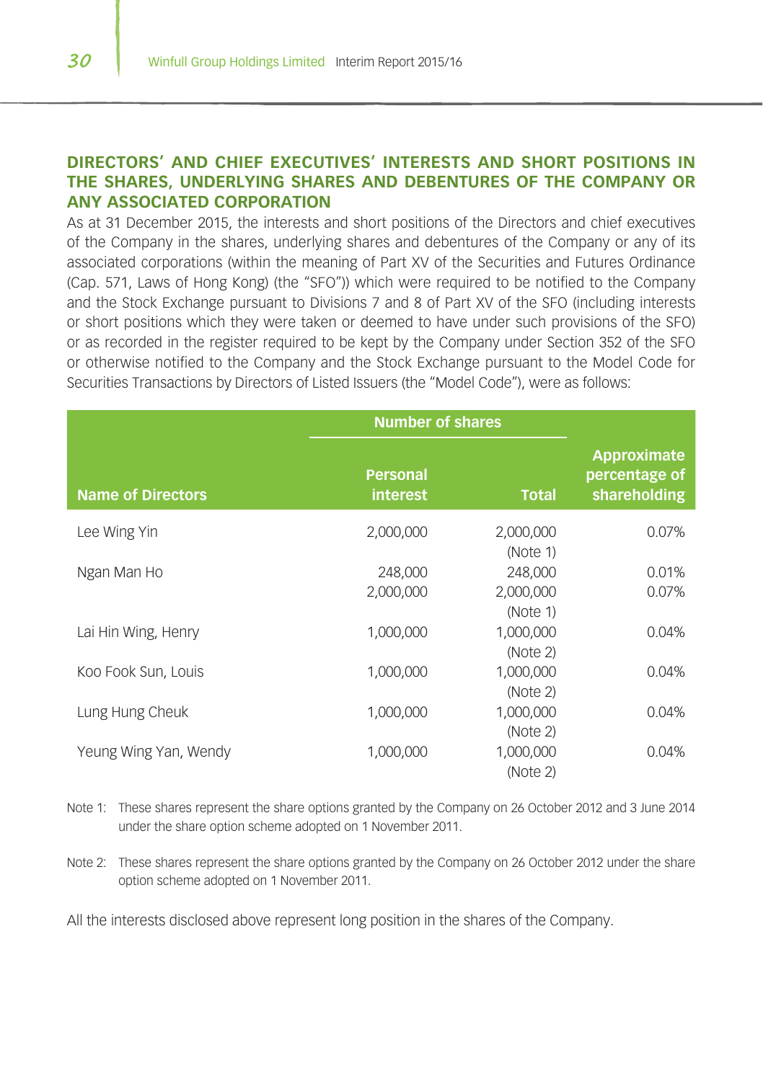## **DIRECTORS' AND CHIEF EXECUTIVES' INTERESTS AND SHORT POSITIONS IN THE SHARES, UNDERLYING SHARES AND DEBENTURES OF THE COMPANY OR ANY ASSOCIATED CORPORATION**

As at 31 December 2015, the interests and short positions of the Directors and chief executives of the Company in the shares, underlying shares and debentures of the Company or any of its associated corporations (within the meaning of Part XV of the Securities and Futures Ordinance (Cap. 571, Laws of Hong Kong) (the "SFO")) which were required to be notified to the Company and the Stock Exchange pursuant to Divisions 7 and 8 of Part XV of the SFO (including interests or short positions which they were taken or deemed to have under such provisions of the SFO) or as recorded in the register required to be kept by the Company under Section 352 of the SFO or otherwise notified to the Company and the Stock Exchange pursuant to the Model Code for Securities Transactions by Directors of Listed Issuers (the "Model Code"), were as follows:

|                          | <b>Number of shares</b>            |                       |                                              |
|--------------------------|------------------------------------|-----------------------|----------------------------------------------|
| <b>Name of Directors</b> | <b>Personal</b><br><b>interest</b> | <b>Total</b>          | Approximate<br>percentage of<br>shareholding |
| Lee Wing Yin             | 2,000,000                          | 2,000,000<br>(Note 1) | 0.07%                                        |
| Ngan Man Ho              | 248,000                            | 248,000               | 0.01%                                        |
|                          | 2.000.000                          | 2,000,000<br>(Note 1) | 0.07%                                        |
| Lai Hin Wing, Henry      | 1,000,000                          | 1,000,000<br>(Note 2) | 0.04%                                        |
| Koo Fook Sun, Louis      | 1,000,000                          | 1,000,000<br>(Note 2) | 0.04%                                        |
| Lung Hung Cheuk          | 1,000,000                          | 1,000,000<br>(Note 2) | 0.04%                                        |
| Yeung Wing Yan, Wendy    | 1,000,000                          | 1,000,000<br>(Note 2) | 0.04%                                        |

Note 1: These shares represent the share options granted by the Company on 26 October 2012 and 3 June 2014 under the share option scheme adopted on 1 November 2011.

Note 2: These shares represent the share options granted by the Company on 26 October 2012 under the share option scheme adopted on 1 November 2011.

All the interests disclosed above represent long position in the shares of the Company.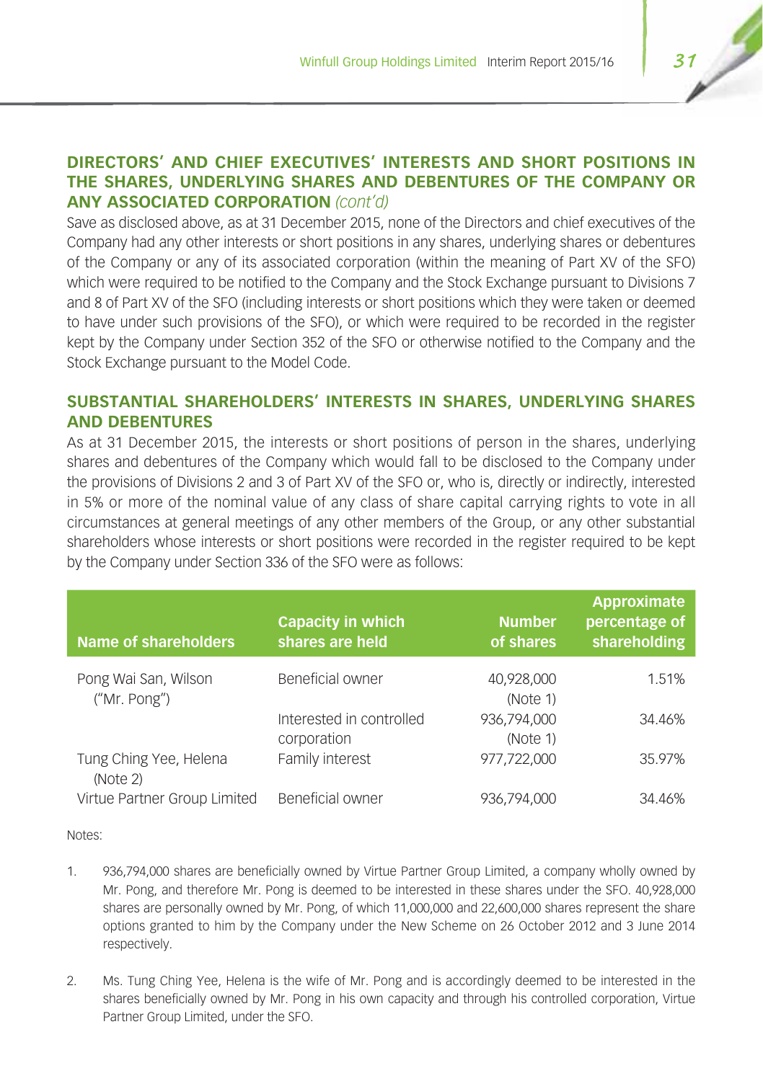## **DIRECTORS' AND CHIEF EXECUTIVES' INTERESTS AND SHORT POSITIONS IN THE SHARES, UNDERLYING SHARES AND DEBENTURES OF THE COMPANY OR ANY ASSOCIATED CORPORATION** *(cont'd)*

Save as disclosed above, as at 31 December 2015, none of the Directors and chief executives of the Company had any other interests or short positions in any shares, underlying shares or debentures of the Company or any of its associated corporation (within the meaning of Part XV of the SFO) which were required to be notified to the Company and the Stock Exchange pursuant to Divisions 7 and 8 of Part XV of the SFO (including interests or short positions which they were taken or deemed to have under such provisions of the SFO), or which were required to be recorded in the register kept by the Company under Section 352 of the SFO or otherwise notified to the Company and the Stock Exchange pursuant to the Model Code.

## **SUBSTANTIAL SHAREHOLDERS' INTERESTS IN SHARES, UNDERLYING SHARES AND DEBENTURES**

As at 31 December 2015, the interests or short positions of person in the shares, underlying shares and debentures of the Company which would fall to be disclosed to the Company under the provisions of Divisions 2 and 3 of Part XV of the SFO or, who is, directly or indirectly, interested in 5% or more of the nominal value of any class of share capital carrying rights to vote in all circumstances at general meetings of any other members of the Group, or any other substantial shareholders whose interests or short positions were recorded in the register required to be kept by the Company under Section 336 of the SFO were as follows:

| <b>Name of shareholders</b>          | <b>Capacity in which</b><br>shares are held | <b>Number</b><br>of shares | Approximate<br>percentage of<br>shareholding |
|--------------------------------------|---------------------------------------------|----------------------------|----------------------------------------------|
| Pong Wai San, Wilson<br>("Mr. Pong") | Beneficial owner                            | 40,928,000<br>(Note 1)     | 1.51%                                        |
|                                      | Interested in controlled<br>corporation     | 936,794,000<br>(Note 1)    | 34.46%                                       |
| Tung Ching Yee, Helena<br>(Note 2)   | Family interest                             | 977,722,000                | 35.97%                                       |
| Virtue Partner Group Limited         | Beneficial owner                            | 936,794,000                | 34.46%                                       |

Notes:

- 1. 936,794,000 shares are beneficially owned by Virtue Partner Group Limited, a company wholly owned by Mr. Pong, and therefore Mr. Pong is deemed to be interested in these shares under the SFO. 40,928,000 shares are personally owned by Mr. Pong, of which 11,000,000 and 22,600,000 shares represent the share options granted to him by the Company under the New Scheme on 26 October 2012 and 3 June 2014 respectively.
- 2. Ms. Tung Ching Yee, Helena is the wife of Mr. Pong and is accordingly deemed to be interested in the shares beneficially owned by Mr. Pong in his own capacity and through his controlled corporation, Virtue Partner Group Limited, under the SFO.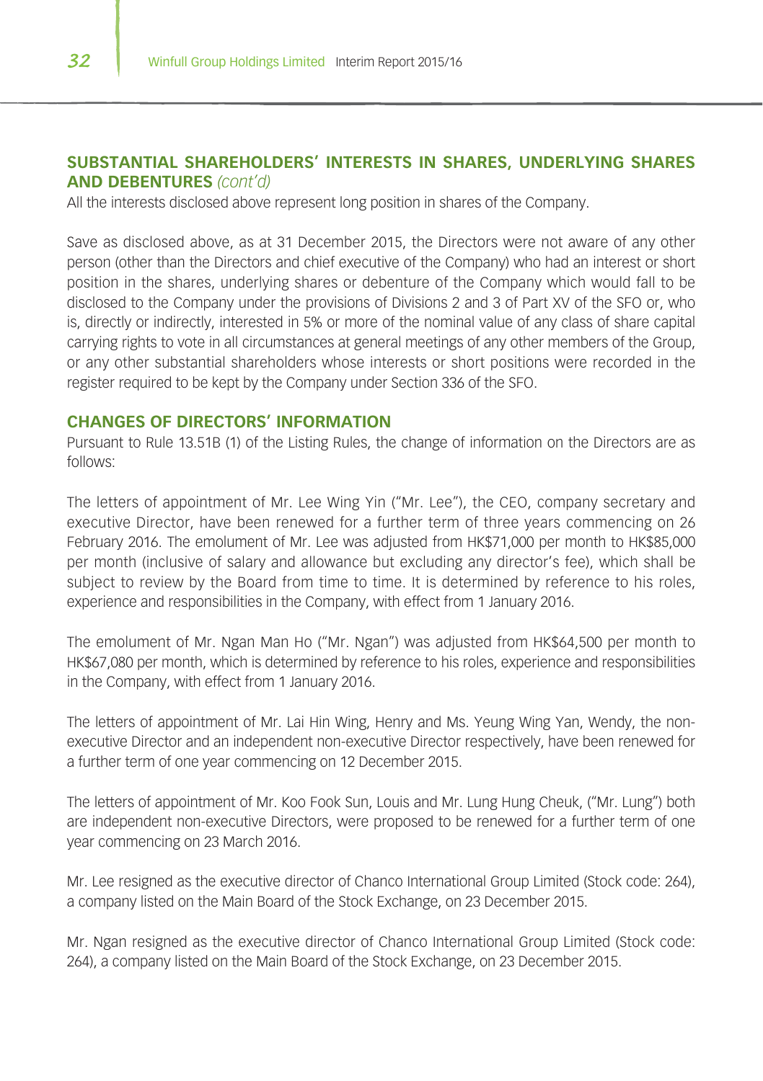## **SUBSTANTIAL SHAREHOLDERS' INTERESTS IN SHARES, UNDERLYING SHARES AND DEBENTURES** *(cont'd)*

All the interests disclosed above represent long position in shares of the Company.

Save as disclosed above, as at 31 December 2015, the Directors were not aware of any other person (other than the Directors and chief executive of the Company) who had an interest or short position in the shares, underlying shares or debenture of the Company which would fall to be disclosed to the Company under the provisions of Divisions 2 and 3 of Part XV of the SFO or, who is, directly or indirectly, interested in 5% or more of the nominal value of any class of share capital carrying rights to vote in all circumstances at general meetings of any other members of the Group, or any other substantial shareholders whose interests or short positions were recorded in the register required to be kept by the Company under Section 336 of the SFO.

#### **CHANGES OF DIRECTORS' INFORMATION**

Pursuant to Rule 13.51B (1) of the Listing Rules, the change of information on the Directors are as follows:

The letters of appointment of Mr. Lee Wing Yin ("Mr. Lee"), the CEO, company secretary and executive Director, have been renewed for a further term of three years commencing on 26 February 2016. The emolument of Mr. Lee was adjusted from HK\$71,000 per month to HK\$85,000 per month (inclusive of salary and allowance but excluding any director's fee), which shall be subject to review by the Board from time to time. It is determined by reference to his roles, experience and responsibilities in the Company, with effect from 1 January 2016.

The emolument of Mr. Ngan Man Ho ("Mr. Ngan") was adjusted from HK\$64,500 per month to HK\$67,080 per month, which is determined by reference to his roles, experience and responsibilities in the Company, with effect from 1 January 2016.

The letters of appointment of Mr. Lai Hin Wing, Henry and Ms. Yeung Wing Yan, Wendy, the nonexecutive Director and an independent non-executive Director respectively, have been renewed for a further term of one year commencing on 12 December 2015.

The letters of appointment of Mr. Koo Fook Sun, Louis and Mr. Lung Hung Cheuk, ("Mr. Lung") both are independent non-executive Directors, were proposed to be renewed for a further term of one year commencing on 23 March 2016.

Mr. Lee resigned as the executive director of Chanco International Group Limited (Stock code: 264), a company listed on the Main Board of the Stock Exchange, on 23 December 2015.

Mr. Ngan resigned as the executive director of Chanco International Group Limited (Stock code: 264), a company listed on the Main Board of the Stock Exchange, on 23 December 2015.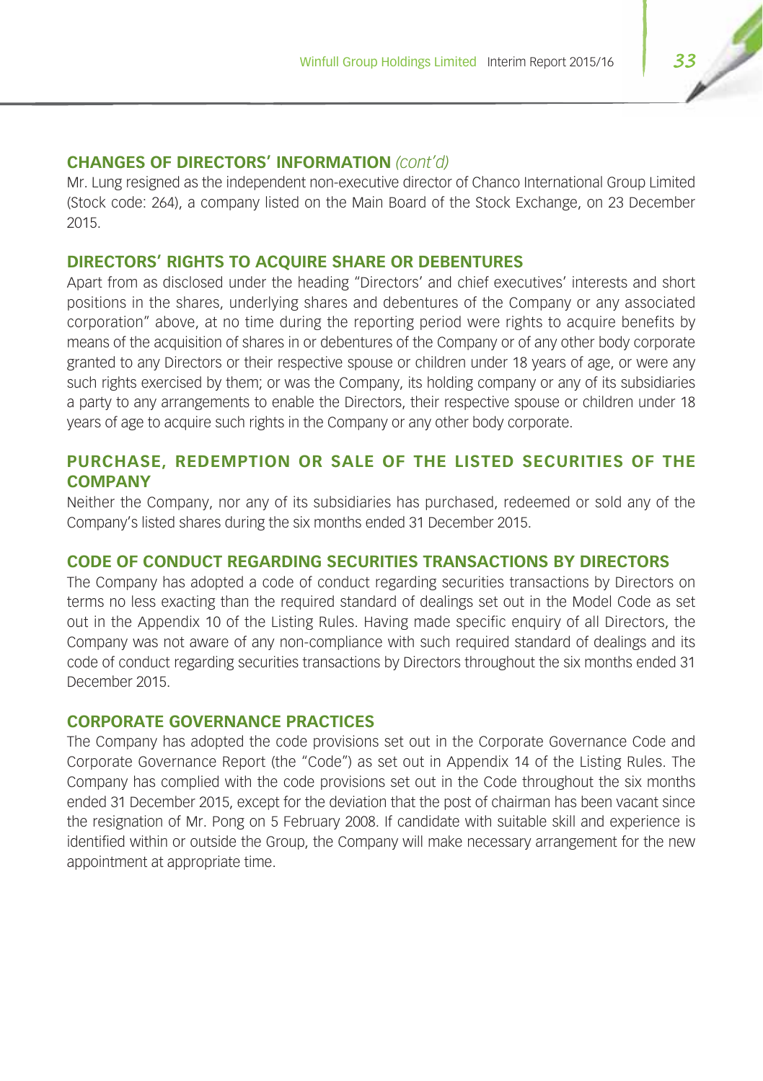#### **CHANGES OF DIRECTORS' INFORMATION** *(cont'd)*

Mr. Lung resigned as the independent non-executive director of Chanco International Group Limited (Stock code: 264), a company listed on the Main Board of the Stock Exchange, on 23 December 2015.

### **DIRECTORS' RIGHTS TO ACQUIRE SHARE OR DEBENTURES**

Apart from as disclosed under the heading "Directors' and chief executives' interests and short positions in the shares, underlying shares and debentures of the Company or any associated corporation" above, at no time during the reporting period were rights to acquire benefits by means of the acquisition of shares in or debentures of the Company or of any other body corporate granted to any Directors or their respective spouse or children under 18 years of age, or were any such rights exercised by them; or was the Company, its holding company or any of its subsidiaries a party to any arrangements to enable the Directors, their respective spouse or children under 18 years of age to acquire such rights in the Company or any other body corporate.

## **PURCHASE, REDEMPTION OR SALE OF THE LISTED SECURITIES OF THE COMPANY**

Neither the Company, nor any of its subsidiaries has purchased, redeemed or sold any of the Company's listed shares during the six months ended 31 December 2015.

## **CODE OF CONDUCT REGARDING SECURITIES TRANSACTIONS BY DIRECTORS**

The Company has adopted a code of conduct regarding securities transactions by Directors on terms no less exacting than the required standard of dealings set out in the Model Code as set out in the Appendix 10 of the Listing Rules. Having made specific enquiry of all Directors, the Company was not aware of any non-compliance with such required standard of dealings and its code of conduct regarding securities transactions by Directors throughout the six months ended 31 December 2015.

## **CORPORATE GOVERNANCE PRACTICES**

The Company has adopted the code provisions set out in the Corporate Governance Code and Corporate Governance Report (the "Code") as set out in Appendix 14 of the Listing Rules. The Company has complied with the code provisions set out in the Code throughout the six months ended 31 December 2015, except for the deviation that the post of chairman has been vacant since the resignation of Mr. Pong on 5 February 2008. If candidate with suitable skill and experience is identified within or outside the Group, the Company will make necessary arrangement for the new appointment at appropriate time.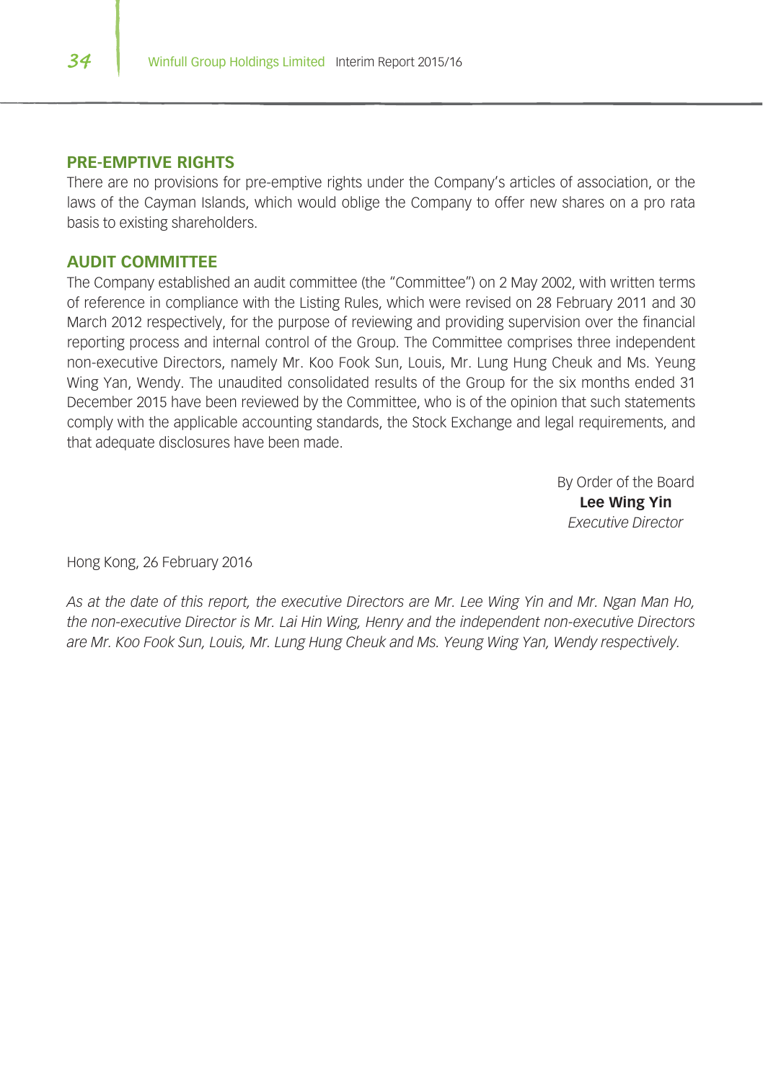#### **PRE-EMPTIVE RIGHTS**

There are no provisions for pre-emptive rights under the Company's articles of association, or the laws of the Cayman Islands, which would oblige the Company to offer new shares on a pro rata basis to existing shareholders.

#### **AUDIT COMMITTEE**

The Company established an audit committee (the "Committee") on 2 May 2002, with written terms of reference in compliance with the Listing Rules, which were revised on 28 February 2011 and 30 March 2012 respectively, for the purpose of reviewing and providing supervision over the financial reporting process and internal control of the Group. The Committee comprises three independent non-executive Directors, namely Mr. Koo Fook Sun, Louis, Mr. Lung Hung Cheuk and Ms. Yeung Wing Yan, Wendy. The unaudited consolidated results of the Group for the six months ended 31 December 2015 have been reviewed by the Committee, who is of the opinion that such statements comply with the applicable accounting standards, the Stock Exchange and legal requirements, and that adequate disclosures have been made.

> By Order of the Board **Lee Wing Yin** *Executive Director*

Hong Kong, 26 February 2016

*As at the date of this report, the executive Directors are Mr. Lee Wing Yin and Mr. Ngan Man Ho, the non-executive Director is Mr. Lai Hin Wing, Henry and the independent non-executive Directors are Mr. Koo Fook Sun, Louis, Mr. Lung Hung Cheuk and Ms. Yeung Wing Yan, Wendy respectively.*